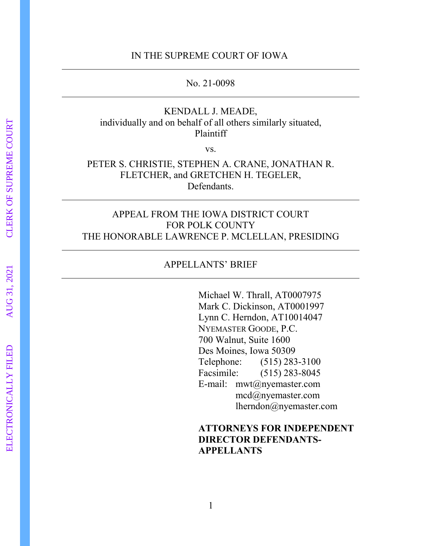## IN THE SUPREME COURT OF IOWA

No. 21-0098

## KENDALL J. MEADE, individually and on behalf of all others similarly situated, Plaintiff

vs.

# PETER S. CHRISTIE, STEPHEN A. CRANE, JONATHAN R. FLETCHER, and GRETCHEN H. TEGELER, Defendants.

# APPEAL FROM THE IOWA DISTRICT COURT FOR POLK COUNTY THE HONORABLE LAWRENCE P. MCLELLAN, PRESIDING

## APPELLANTS' BRIEF

Michael W. Thrall, AT0007975 Mark C. Dickinson, AT0001997 Lynn C. Herndon, AT10014047 NYEMASTER GOODE, P.C. 700 Walnut, Suite 1600 Des Moines, Iowa 50309 Telephone: (515) 283-3100 Facsimile: (515) 283-8045 E-mail: mwt@nyemaster.com mcd@nyemaster.com lherndon@nyemaster.com

# **ATTORNEYS FOR INDEPENDENT DIRECTOR DEFENDANTS-APPELLANTS**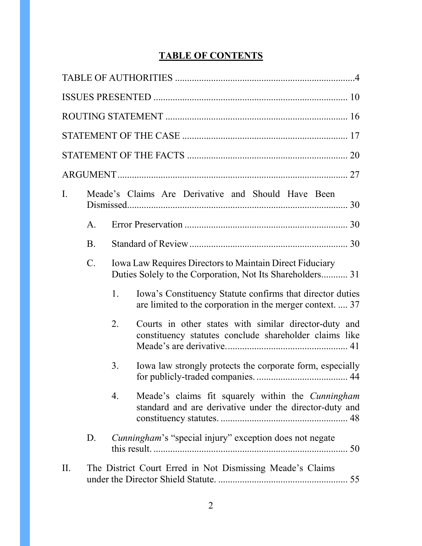# **TABLE OF CONTENTS**

| Ι.                                                                          | Meade's Claims Are Derivative and Should Have Been |    |                                                                                                                        |  |  |
|-----------------------------------------------------------------------------|----------------------------------------------------|----|------------------------------------------------------------------------------------------------------------------------|--|--|
|                                                                             | A.                                                 |    |                                                                                                                        |  |  |
|                                                                             | <b>B.</b>                                          |    |                                                                                                                        |  |  |
| Iowa Law Requires Directors to Maintain Direct Fiduciary<br>$\mathcal{C}$ . |                                                    |    | Duties Solely to the Corporation, Not Its Shareholders 31                                                              |  |  |
|                                                                             |                                                    | 1. | Iowa's Constituency Statute confirms that director duties<br>are limited to the corporation in the merger context.  37 |  |  |
|                                                                             |                                                    | 2. | Courts in other states with similar director-duty and<br>constituency statutes conclude shareholder claims like        |  |  |
|                                                                             |                                                    | 3. | Iowa law strongly protects the corporate form, especially                                                              |  |  |
|                                                                             |                                                    | 4. | Meade's claims fit squarely within the <i>Cunningham</i><br>standard and are derivative under the director-duty and    |  |  |
|                                                                             | D.                                                 |    | <i>Cunningham's</i> "special injury" exception does not negate                                                         |  |  |
| II.                                                                         |                                                    |    | The District Court Erred in Not Dismissing Meade's Claims                                                              |  |  |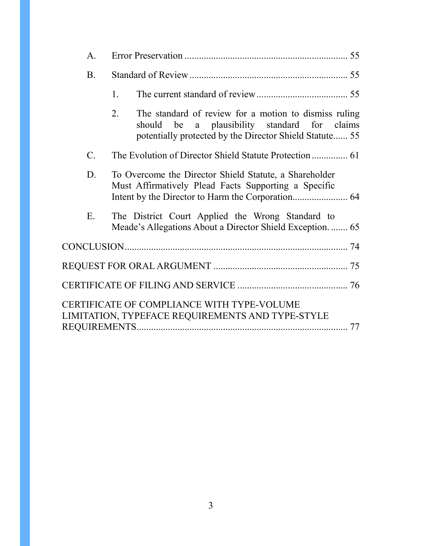| A.             |                                                                                                                                                                        |  |
|----------------|------------------------------------------------------------------------------------------------------------------------------------------------------------------------|--|
| <b>B.</b>      |                                                                                                                                                                        |  |
|                | 1.                                                                                                                                                                     |  |
|                | 2.<br>The standard of review for a motion to dismiss ruling<br>should be a plausibility standard for claims<br>potentially protected by the Director Shield Statute 55 |  |
| $\mathbf{C}$ . |                                                                                                                                                                        |  |
| D.             | To Overcome the Director Shield Statute, a Shareholder<br>Must Affirmatively Plead Facts Supporting a Specific                                                         |  |
| E.             | The District Court Applied the Wrong Standard to<br>Meade's Allegations About a Director Shield Exception 65                                                           |  |
|                |                                                                                                                                                                        |  |
|                |                                                                                                                                                                        |  |
|                |                                                                                                                                                                        |  |
|                | CERTIFICATE OF COMPLIANCE WITH TYPE-VOLUME<br>LIMITATION, TYPEFACE REQUIREMENTS AND TYPE-STYLE                                                                         |  |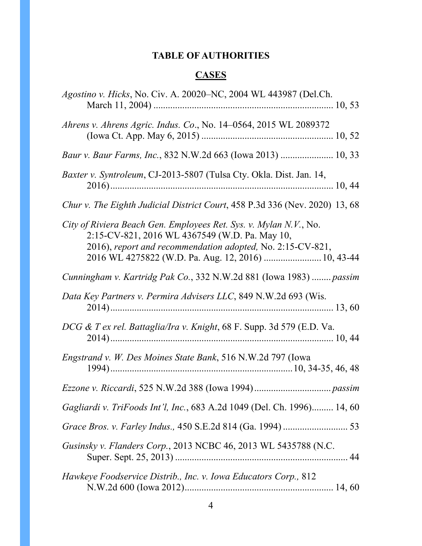# **TABLE OF AUTHORITIES**

# **CASES**

<span id="page-3-0"></span>

| Agostino v. Hicks, No. Civ. A. 20020–NC, 2004 WL 443987 (Del.Ch.                                                                                                                                                                         |
|------------------------------------------------------------------------------------------------------------------------------------------------------------------------------------------------------------------------------------------|
| Ahrens v. Ahrens Agric. Indus. Co., No. 14–0564, 2015 WL 2089372                                                                                                                                                                         |
| Baur v. Baur Farms, Inc., 832 N.W.2d 663 (Iowa 2013)  10, 33                                                                                                                                                                             |
| Baxter v. Syntroleum, CJ-2013-5807 (Tulsa Cty. Okla. Dist. Jan. 14,                                                                                                                                                                      |
| Chur v. The Eighth Judicial District Court, 458 P.3d 336 (Nev. 2020) 13, 68                                                                                                                                                              |
| City of Riviera Beach Gen. Employees Ret. Sys. v. Mylan N.V., No.<br>2:15-CV-821, 2016 WL 4367549 (W.D. Pa. May 10,<br>2016), report and recommendation adopted, No. 2:15-CV-821,<br>2016 WL 4275822 (W.D. Pa. Aug. 12, 2016)  10, 43-44 |
| Cunningham v. Kartridg Pak Co., 332 N.W.2d 881 (Iowa 1983)  passim                                                                                                                                                                       |
| Data Key Partners v. Permira Advisers LLC, 849 N.W.2d 693 (Wis.                                                                                                                                                                          |
| DCG & T ex rel. Battaglia/Ira v. Knight, 68 F. Supp. 3d 579 (E.D. Va.                                                                                                                                                                    |
| Engstrand v. W. Des Moines State Bank, 516 N.W.2d 797 (Iowa                                                                                                                                                                              |
|                                                                                                                                                                                                                                          |
| Gagliardi v. TriFoods Int'l, Inc., 683 A.2d 1049 (Del. Ch. 1996) 14, 60                                                                                                                                                                  |
|                                                                                                                                                                                                                                          |
| Gusinsky v. Flanders Corp., 2013 NCBC 46, 2013 WL 5435788 (N.C.                                                                                                                                                                          |
| Hawkeye Foodservice Distrib., Inc. v. Iowa Educators Corp., 812                                                                                                                                                                          |
|                                                                                                                                                                                                                                          |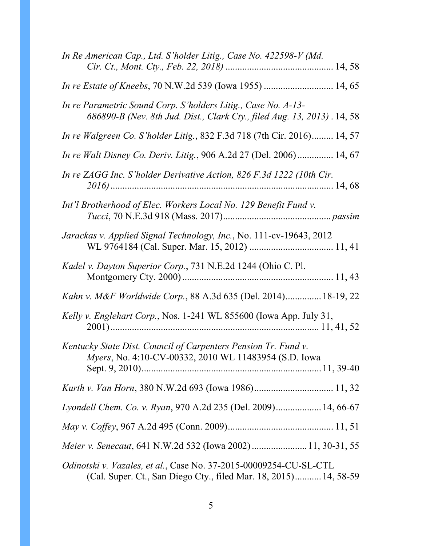| In Re American Cap., Ltd. S'holder Litig., Case No. 422598-V (Md.                                                                        |
|------------------------------------------------------------------------------------------------------------------------------------------|
|                                                                                                                                          |
| In re Parametric Sound Corp. S'holders Litig., Case No. A-13-<br>686890-B (Nev. 8th Jud. Dist., Clark Cty., filed Aug. 13, 2013). 14, 58 |
| In re Walgreen Co. S'holder Litig., 832 F.3d 718 (7th Cir. 2016) 14, 57                                                                  |
| In re Walt Disney Co. Deriv. Litig., 906 A.2d 27 (Del. 2006) 14, 67                                                                      |
| In re ZAGG Inc. S'holder Derivative Action, 826 F.3d 1222 (10th Cir.                                                                     |
| Int'l Brotherhood of Elec. Workers Local No. 129 Benefit Fund v.                                                                         |
| Jarackas v. Applied Signal Technology, Inc., No. 111-cv-19643, 2012                                                                      |
| Kadel v. Dayton Superior Corp., 731 N.E.2d 1244 (Ohio C. Pl.                                                                             |
| Kahn v. M&F Worldwide Corp., 88 A.3d 635 (Del. 2014) 18-19, 22                                                                           |
| Kelly v. Englehart Corp., Nos. 1-241 WL 855600 (Iowa App. July 31,                                                                       |
| Kentucky State Dist. Council of Carpenters Pension Tr. Fund v.<br><i>Myers</i> , No. 4:10-CV-00332, 2010 WL 11483954 (S.D. Iowa          |
|                                                                                                                                          |
| Lyondell Chem. Co. v. Ryan, 970 A.2d 235 (Del. 2009) 14, 66-67                                                                           |
|                                                                                                                                          |
| Meier v. Senecaut, 641 N.W.2d 532 (Iowa 2002)  11, 30-31, 55                                                                             |
| Odinotski v. Vazales, et al., Case No. 37-2015-00009254-CU-SL-CTL<br>(Cal. Super. Ct., San Diego Cty., filed Mar. 18, 2015) 14, 58-59    |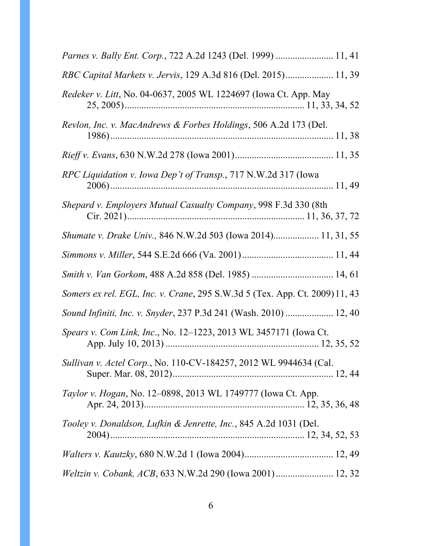| Parnes v. Bally Ent. Corp., 722 A.2d 1243 (Del. 1999)  11, 41               |
|-----------------------------------------------------------------------------|
| RBC Capital Markets v. Jervis, 129 A.3d 816 (Del. 2015) 11, 39              |
| Redeker v. Litt, No. 04-0637, 2005 WL 1224697 (Iowa Ct. App. May            |
| Revlon, Inc. v. MacAndrews & Forbes Holdings, 506 A.2d 173 (Del.            |
|                                                                             |
| RPC Liquidation v. Iowa Dep't of Transp., 717 N.W.2d 317 (Iowa              |
| Shepard v. Employers Mutual Casualty Company, 998 F.3d 330 (8th             |
| Shumate v. Drake Univ., 846 N.W.2d 503 (Iowa 2014) 11, 31, 55               |
|                                                                             |
|                                                                             |
| Somers ex rel. EGL, Inc. v. Crane, 295 S.W.3d 5 (Tex. App. Ct. 2009) 11, 43 |
| Sound Infiniti, Inc. v. Snyder, 237 P.3d 241 (Wash. 2010)  12, 40           |
| Spears v. Com Link, Inc., No. 12–1223, 2013 WL 3457171 (Iowa Ct.            |
| <i>Sullivan v. Actel Corp.</i> , No. 110-CV-184257, 2012 WL 9944634 (Cal.   |
| Taylor v. Hogan, No. 12-0898, 2013 WL 1749777 (Iowa Ct. App.                |
| Tooley v. Donaldson, Lufkin & Jenrette, Inc., 845 A.2d 1031 (Del.           |
|                                                                             |
| Weltzin v. Cobank, ACB, 633 N.W.2d 290 (Iowa 2001) 12, 32                   |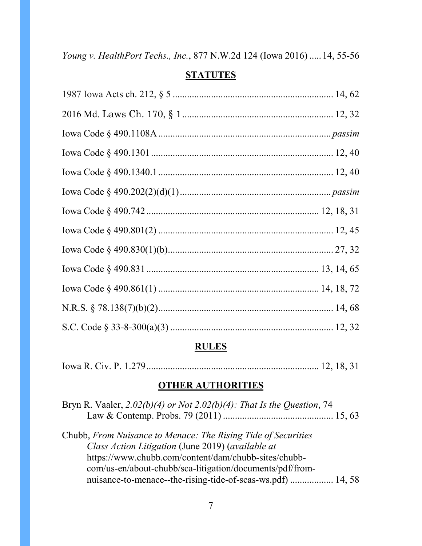*Young v. HealthPort Techs., Inc.*, 877 N.W.2d 124 (Iowa 2016) .....14, 55-56

# **STATUTES**

# **RULES**

|--|--|--|--|--|--|--|--|

# **OTHER AUTHORITIES**

| Bryn R. Vaaler, $2.02(b)(4)$ or Not $2.02(b)(4)$ : That Is the Question, 74 |  |
|-----------------------------------------------------------------------------|--|
|                                                                             |  |
| Chubb, From Nuisance to Menace: The Rising Tide of Securities               |  |
| Class Action Litigation (June 2019) (available at                           |  |
| https://www.chubb.com/content/dam/chubb-sites/chubb-                        |  |
| com/us-en/about-chubb/sca-litigation/documents/pdf/from-                    |  |
| nuisance-to-menace--the-rising-tide-of-scas-ws.pdf)  14, 58                 |  |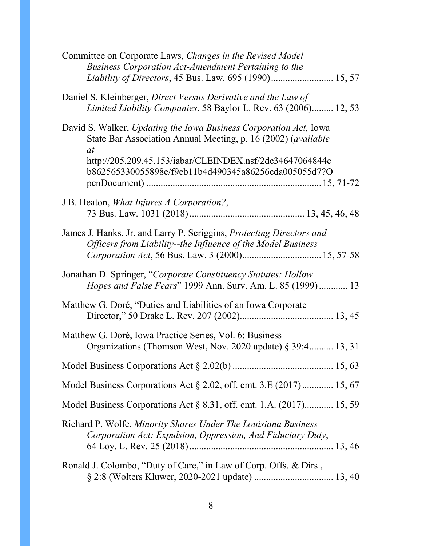| Committee on Corporate Laws, Changes in the Revised Model<br>Business Corporation Act-Amendment Pertaining to the                                                                                                                                                   |
|---------------------------------------------------------------------------------------------------------------------------------------------------------------------------------------------------------------------------------------------------------------------|
| Daniel S. Kleinberger, Direct Versus Derivative and the Law of<br>Limited Liability Companies, 58 Baylor L. Rev. 63 (2006) 12, 53                                                                                                                                   |
| David S. Walker, Updating the Iowa Business Corporation Act, Iowa<br>State Bar Association Annual Meeting, p. 16 (2002) (available<br><i>at</i><br>http://205.209.45.153/iabar/CLEINDEX.nsf/2de34647064844c<br>b862565330055898e/f9eb11b4d490345a86256cda005055d7?O |
|                                                                                                                                                                                                                                                                     |
| J.B. Heaton, <i>What Injures A Corporation?</i> ,                                                                                                                                                                                                                   |
| James J. Hanks, Jr. and Larry P. Scriggins, Protecting Directors and<br>Officers from Liability--the Influence of the Model Business                                                                                                                                |
| Jonathan D. Springer, "Corporate Constituency Statutes: Hollow<br>Hopes and False Fears" 1999 Ann. Surv. Am. L. 85 (1999) 13                                                                                                                                        |
| Matthew G. Doré, "Duties and Liabilities of an Iowa Corporate                                                                                                                                                                                                       |
| Matthew G. Doré, Iowa Practice Series, Vol. 6: Business<br>Organizations (Thomson West, Nov. 2020 update) § 39:4 13, 31                                                                                                                                             |
|                                                                                                                                                                                                                                                                     |
| Model Business Corporations Act $\S 2.02$ , off. cmt. 3.E (2017) 15, 67                                                                                                                                                                                             |
| Model Business Corporations Act $\S$ 8.31, off. cmt. 1.A. $(2017)$ 15, 59                                                                                                                                                                                           |
| Richard P. Wolfe, Minority Shares Under The Louisiana Business<br>Corporation Act: Expulsion, Oppression, And Fiduciary Duty,                                                                                                                                       |
| Ronald J. Colombo, "Duty of Care," in Law of Corp. Offs. & Dirs.,                                                                                                                                                                                                   |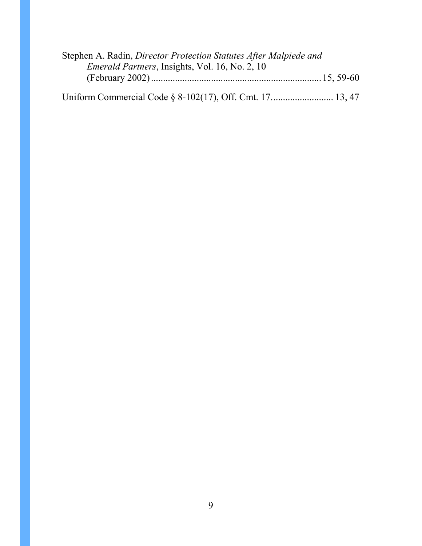| Stephen A. Radin, Director Protection Statutes After Malpiede and |  |
|-------------------------------------------------------------------|--|
| Emerald Partners, Insights, Vol. 16, No. 2, 10                    |  |
|                                                                   |  |
|                                                                   |  |
|                                                                   |  |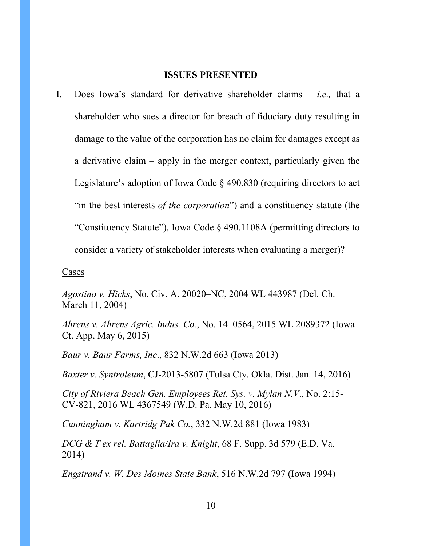### **ISSUES PRESENTED**

<span id="page-9-0"></span>I. Does Iowa's standard for derivative shareholder claims – *i.e.,* that a shareholder who sues a director for breach of fiduciary duty resulting in damage to the value of the corporation has no claim for damages except as a derivative claim – apply in the merger context, particularly given the Legislature's adoption of Iowa Code § 490.830 (requiring directors to act "in the best interests *of the corporation*") and a constituency statute (the "Constituency Statute"), Iowa Code § 490.1108A (permitting directors to consider a variety of stakeholder interests when evaluating a merger)?

Cases

*Agostino v. Hicks*, No. Civ. A. 20020–NC, 2004 WL 443987 (Del. Ch. March 11, 2004)

*Ahrens v. Ahrens Agric. Indus. Co.*, No. 14–0564, 2015 WL 2089372 (Iowa Ct. App. May 6, 2015)

*Baur v. Baur Farms, Inc*., 832 N.W.2d 663 (Iowa 2013)

*Baxter v. Syntroleum*, CJ-2013-5807 (Tulsa Cty. Okla. Dist. Jan. 14, 2016)

*City of Riviera Beach Gen. Employees Ret. Sys. v. Mylan N.V*., No. 2:15- CV-821, 2016 WL 4367549 (W.D. Pa. May 10, 2016)

*Cunningham v. Kartridg Pak Co.*, 332 N.W.2d 881 (Iowa 1983)

*DCG & T ex rel. Battaglia/Ira v. Knight*, 68 F. Supp. 3d 579 (E.D. Va. 2014)

*Engstrand v. W. Des Moines State Bank*, 516 N.W.2d 797 (Iowa 1994)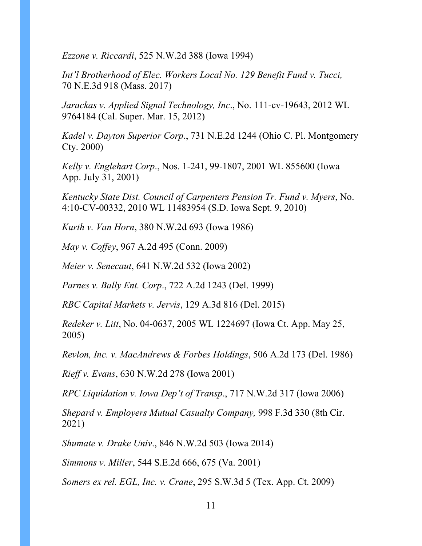*Ezzone v. Riccardi*, 525 N.W.2d 388 (Iowa 1994)

*Int'l Brotherhood of Elec. Workers Local No. 129 Benefit Fund v. Tucci,* 70 N.E.3d 918 (Mass. 2017)

*Jarackas v. Applied Signal Technology, Inc*., No. 111-cv-19643, 2012 WL 9764184 (Cal. Super. Mar. 15, 2012)

*Kadel v. Dayton Superior Corp*., 731 N.E.2d 1244 (Ohio C. Pl. Montgomery Cty. 2000)

*Kelly v. Englehart Corp*., Nos. 1-241, 99-1807, 2001 WL 855600 (Iowa App. July 31, 2001)

*Kentucky State Dist. Council of Carpenters Pension Tr. Fund v. Myers*, No. 4:10-CV-00332, 2010 WL 11483954 (S.D. Iowa Sept. 9, 2010)

*Kurth v. Van Horn*, 380 N.W.2d 693 (Iowa 1986)

*May v. Coffey*, 967 A.2d 495 (Conn. 2009)

*Meier v. Senecaut*, 641 N.W.2d 532 (Iowa 2002)

*Parnes v. Bally Ent. Corp*., 722 A.2d 1243 (Del. 1999)

*RBC Capital Markets v. Jervis*, 129 A.3d 816 (Del. 2015)

*Redeker v. Litt*, No. 04-0637, 2005 WL 1224697 (Iowa Ct. App. May 25, 2005)

*Revlon, Inc. v. MacAndrews & Forbes Holdings*, 506 A.2d 173 (Del. 1986)

*Rieff v. Evans*, 630 N.W.2d 278 (Iowa 2001)

*RPC Liquidation v. Iowa Dep't of Transp*., 717 N.W.2d 317 (Iowa 2006)

*Shepard v. Employers Mutual Casualty Company,* 998 F.3d 330 (8th Cir. 2021)

*Shumate v. Drake Univ*., 846 N.W.2d 503 (Iowa 2014)

*Simmons v. Miller*, 544 S.E.2d 666, 675 (Va. 2001)

*Somers ex rel. EGL, Inc. v. Crane*, 295 S.W.3d 5 (Tex. App. Ct. 2009)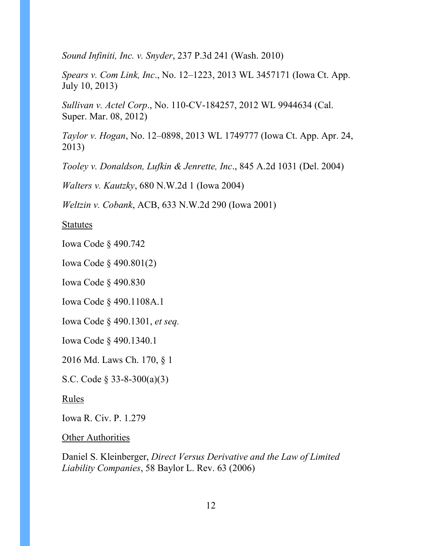*Sound Infiniti, Inc. v. Snyder*, 237 P.3d 241 (Wash. 2010)

*Spears v. Com Link, Inc*., No. 12–1223, 2013 WL 3457171 (Iowa Ct. App. July 10, 2013)

*Sullivan v. Actel Corp*., No. 110-CV-184257, 2012 WL 9944634 (Cal. Super. Mar. 08, 2012)

*Taylor v. Hogan*, No. 12–0898, 2013 WL 1749777 (Iowa Ct. App. Apr. 24, 2013)

*Tooley v. Donaldson, Lufkin & Jenrette, Inc*., 845 A.2d 1031 (Del. 2004)

*Walters v. Kautzky*, 680 N.W.2d 1 (Iowa 2004)

*Weltzin v. Cobank*, ACB, 633 N.W.2d 290 (Iowa 2001)

Statutes

Iowa Code § 490.742

Iowa Code § 490.801(2)

Iowa Code § 490.830

Iowa Code § 490.1108A.1

Iowa Code § 490.1301, *et seq.*

Iowa Code § 490.1340.1

2016 Md. Laws Ch. 170, § 1

S.C. Code § 33-8-300(a)(3)

Rules

Iowa R. Civ. P. 1.279

Other Authorities

Daniel S. Kleinberger, *Direct Versus Derivative and the Law of Limited Liability Companies*, 58 Baylor L. Rev. 63 (2006)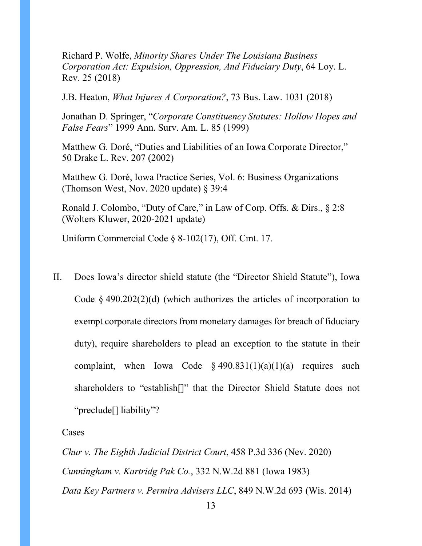Richard P. Wolfe, *Minority Shares Under The Louisiana Business Corporation Act: Expulsion, Oppression, And Fiduciary Duty*, 64 Loy. L. Rev. 25 (2018)

J.B. Heaton, *What Injures A Corporation?*, 73 Bus. Law. 1031 (2018)

Jonathan D. Springer, "*Corporate Constituency Statutes: Hollow Hopes and False Fears*" 1999 Ann. Surv. Am. L. 85 (1999)

Matthew G. Doré, "Duties and Liabilities of an Iowa Corporate Director," 50 Drake L. Rev. 207 (2002)

Matthew G. Doré, Iowa Practice Series, Vol. 6: Business Organizations (Thomson West, Nov. 2020 update) § 39:4

Ronald J. Colombo, "Duty of Care," in Law of Corp. Offs. & Dirs., § 2:8 (Wolters Kluwer, 2020-2021 update)

Uniform Commercial Code § 8-102(17), Off. Cmt. 17.

II. Does Iowa's director shield statute (the "Director Shield Statute"), Iowa Code  $\&$  490.202(2)(d) (which authorizes the articles of incorporation to exempt corporate directors from monetary damages for breach of fiduciary duty), require shareholders to plead an exception to the statute in their complaint, when Iowa Code  $\S$  490.831(1)(a)(1)(a) requires such shareholders to "establish[]" that the Director Shield Statute does not "preclude[] liability"?

#### Cases

*Chur v. The Eighth Judicial District Court*, 458 P.3d 336 (Nev. 2020) *Cunningham v. Kartridg Pak Co.*, 332 N.W.2d 881 (Iowa 1983) *Data Key Partners v. Permira Advisers LLC*, 849 N.W.2d 693 (Wis. 2014)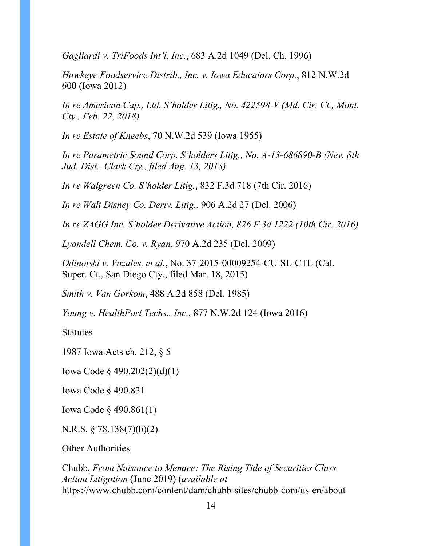*Gagliardi v. TriFoods Int'l, Inc.*, 683 A.2d 1049 (Del. Ch. 1996)

*Hawkeye Foodservice Distrib., Inc. v. Iowa Educators Corp.*, 812 N.W.2d 600 (Iowa 2012)

*In re American Cap., Ltd. S'holder Litig., No. 422598-V (Md. Cir. Ct., Mont. Cty., Feb. 22, 2018)*

*In re Estate of Kneebs*, 70 N.W.2d 539 (Iowa 1955)

*In re Parametric Sound Corp. S'holders Litig., No. A-13-686890-B (Nev. 8th Jud. Dist., Clark Cty., filed Aug. 13, 2013)* 

*In re Walgreen Co. S'holder Litig.*, 832 F.3d 718 (7th Cir. 2016)

*In re Walt Disney Co. Deriv. Litig.*, 906 A.2d 27 (Del. 2006)

*In re ZAGG Inc. S'holder Derivative Action, 826 F.3d 1222 (10th Cir. 2016)*

*Lyondell Chem. Co. v. Ryan*, 970 A.2d 235 (Del. 2009)

*Odinotski v. Vazales, et al.*, No. 37-2015-00009254-CU-SL-CTL (Cal. Super. Ct., San Diego Cty., filed Mar. 18, 2015)

*Smith v. Van Gorkom*, 488 A.2d 858 (Del. 1985)

*Young v. HealthPort Techs., Inc.*, 877 N.W.2d 124 (Iowa 2016)

Statutes

1987 Iowa Acts ch. 212, § 5

Iowa Code § 490.202(2)(d)(1)

Iowa Code § 490.831

Iowa Code § 490.861(1)

N.R.S. § 78.138(7)(b)(2)

Other Authorities

Chubb, *From Nuisance to Menace: The Rising Tide of Securities Class Action Litigation* (June 2019) (*available at* https://www.chubb.com/content/dam/chubb-sites/chubb-com/us-en/about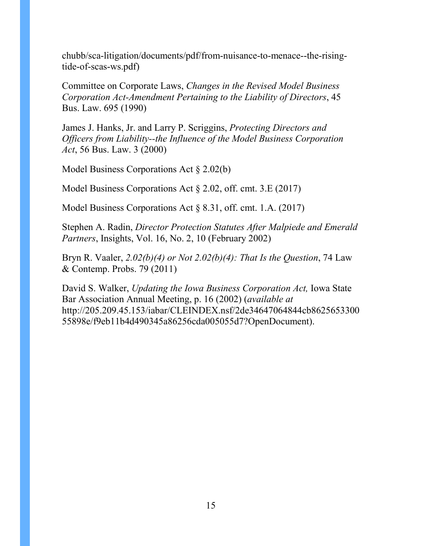chubb/sca-litigation/documents/pdf/from-nuisance-to-menace--the-risingtide-of-scas-ws.pdf)

Committee on Corporate Laws, *Changes in the Revised Model Business Corporation Act-Amendment Pertaining to the Liability of Directors*, 45 Bus. Law. 695 (1990)

James J. Hanks, Jr. and Larry P. Scriggins, *Protecting Directors and Officers from Liability--the Influence of the Model Business Corporation Act*, 56 Bus. Law. 3 (2000)

Model Business Corporations Act § 2.02(b)

Model Business Corporations Act § 2.02, off. cmt. 3.E (2017)

Model Business Corporations Act § 8.31, off. cmt. 1.A. (2017)

Stephen A. Radin, *Director Protection Statutes After Malpiede and Emerald Partners*, Insights, Vol. 16, No. 2, 10 (February 2002)

Bryn R. Vaaler, *2.02(b)(4) or Not 2.02(b)(4): That Is the Question*, 74 Law & Contemp. Probs. 79 (2011)

David S. Walker, *Updating the Iowa Business Corporation Act,* Iowa State Bar Association Annual Meeting, p. 16 (2002) (*available at*  http://205.209.45.153/iabar/CLEINDEX.nsf/2de34647064844cb8625653300 55898e/f9eb11b4d490345a86256cda005055d7?OpenDocument).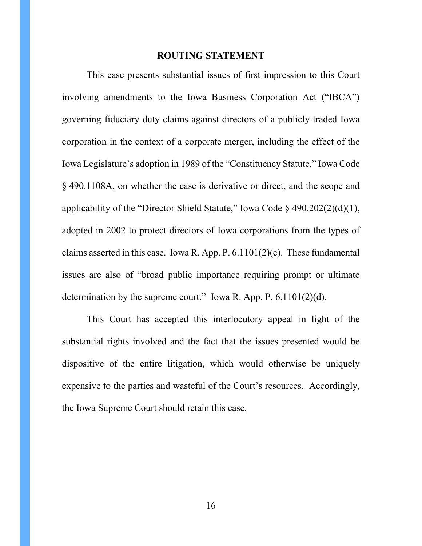### **ROUTING STATEMENT**

<span id="page-15-0"></span>This case presents substantial issues of first impression to this Court involving amendments to the Iowa Business Corporation Act ("IBCA") governing fiduciary duty claims against directors of a publicly-traded Iowa corporation in the context of a corporate merger, including the effect of the Iowa Legislature's adoption in 1989 of the "Constituency Statute," Iowa Code § 490.1108A, on whether the case is derivative or direct, and the scope and applicability of the "Director Shield Statute," Iowa Code  $\S$  490.202(2)(d)(1), adopted in 2002 to protect directors of Iowa corporations from the types of claims asserted in this case. Iowa R. App. P.  $6.1101(2)(c)$ . These fundamental issues are also of "broad public importance requiring prompt or ultimate determination by the supreme court." Iowa R. App. P.  $6.1101(2)(d)$ .

This Court has accepted this interlocutory appeal in light of the substantial rights involved and the fact that the issues presented would be dispositive of the entire litigation, which would otherwise be uniquely expensive to the parties and wasteful of the Court's resources. Accordingly, the Iowa Supreme Court should retain this case.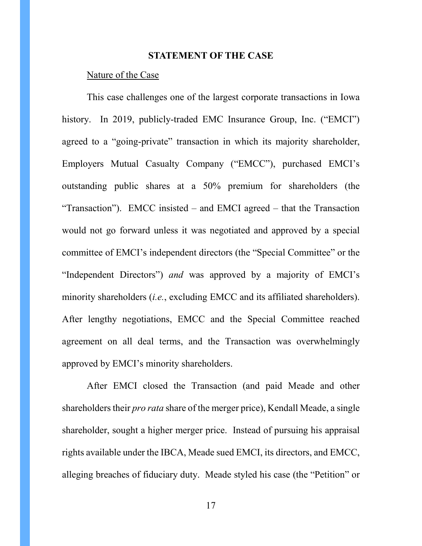## **STATEMENT OF THE CASE**

### <span id="page-16-0"></span>Nature of the Case

This case challenges one of the largest corporate transactions in Iowa history. In 2019, publicly-traded EMC Insurance Group, Inc. ("EMCI") agreed to a "going-private" transaction in which its majority shareholder, Employers Mutual Casualty Company ("EMCC"), purchased EMCI's outstanding public shares at a 50% premium for shareholders (the "Transaction"). EMCC insisted – and EMCI agreed – that the Transaction would not go forward unless it was negotiated and approved by a special committee of EMCI's independent directors (the "Special Committee" or the "Independent Directors") *and* was approved by a majority of EMCI's minority shareholders (*i.e.*, excluding EMCC and its affiliated shareholders). After lengthy negotiations, EMCC and the Special Committee reached agreement on all deal terms, and the Transaction was overwhelmingly approved by EMCI's minority shareholders.

After EMCI closed the Transaction (and paid Meade and other shareholders their *pro rata* share of the merger price), Kendall Meade, a single shareholder, sought a higher merger price. Instead of pursuing his appraisal rights available under the IBCA, Meade sued EMCI, its directors, and EMCC, alleging breaches of fiduciary duty. Meade styled his case (the "Petition" or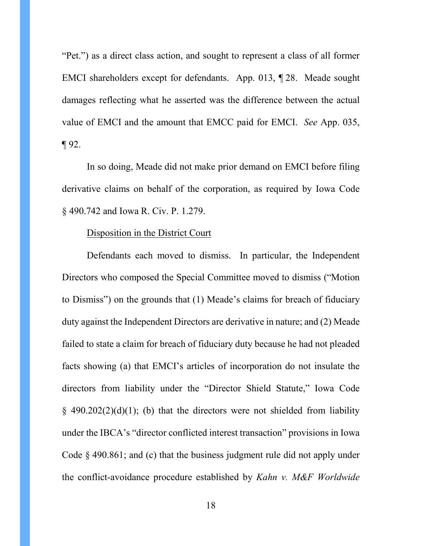"Pet.") as a direct class action, and sought to represent a class of all former EMCI shareholders except for defendants. App. 013, ¶ 28. Meade sought damages reflecting what he asserted was the difference between the actual value of EMCI and the amount that EMCC paid for EMCI. *See* App. 035,  $\P$  92.

In so doing, Meade did not make prior demand on EMCI before filing derivative claims on behalf of the corporation, as required by Iowa Code § 490.742 and Iowa R. Civ. P. 1.279.

### Disposition in the District Court

Defendants each moved to dismiss. In particular, the Independent Directors who composed the Special Committee moved to dismiss ("Motion to Dismiss") on the grounds that (1) Meade's claims for breach of fiduciary duty against the Independent Directors are derivative in nature; and (2) Meade failed to state a claim for breach of fiduciary duty because he had not pleaded facts showing (a) that EMCI's articles of incorporation do not insulate the directors from liability under the "Director Shield Statute," Iowa Code  $§$  490.202(2)(d)(1); (b) that the directors were not shielded from liability under the IBCA's "director conflicted interest transaction" provisions in Iowa Code § 490.861; and (c) that the business judgment rule did not apply under the conflict-avoidance procedure established by *Kahn v. M&F Worldwide*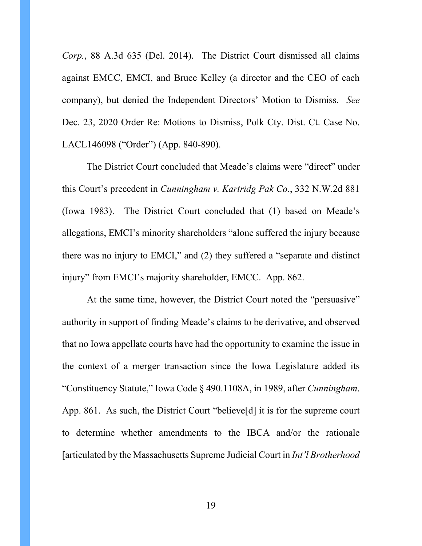*Corp.*, 88 A.3d 635 (Del. 2014). The District Court dismissed all claims against EMCC, EMCI, and Bruce Kelley (a director and the CEO of each company), but denied the Independent Directors' Motion to Dismiss. *See*  Dec. 23, 2020 Order Re: Motions to Dismiss, Polk Cty. Dist. Ct. Case No. LACL146098 ("Order") (App. 840-890).

The District Court concluded that Meade's claims were "direct" under this Court's precedent in *Cunningham v. Kartridg Pak Co.*, 332 N.W.2d 881 (Iowa 1983). The District Court concluded that (1) based on Meade's allegations, EMCI's minority shareholders "alone suffered the injury because there was no injury to EMCI," and (2) they suffered a "separate and distinct injury" from EMCI's majority shareholder, EMCC. App. 862.

At the same time, however, the District Court noted the "persuasive" authority in support of finding Meade's claims to be derivative, and observed that no Iowa appellate courts have had the opportunity to examine the issue in the context of a merger transaction since the Iowa Legislature added its "Constituency Statute," Iowa Code § 490.1108A, in 1989, after *Cunningham*. App. 861. As such, the District Court "believe[d] it is for the supreme court to determine whether amendments to the IBCA and/or the rationale [articulated by the Massachusetts Supreme Judicial Court in *Int'l Brotherhood*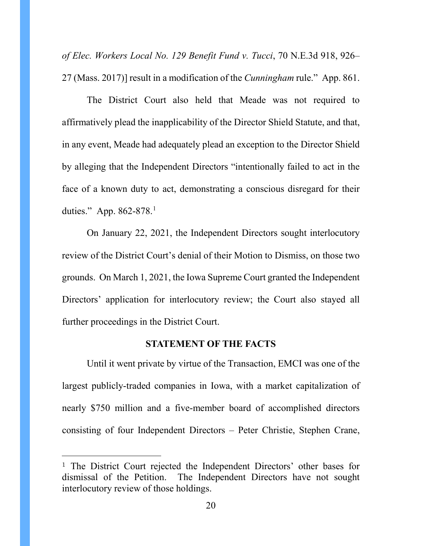*of Elec. Workers Local No. 129 Benefit Fund v. Tucci*, 70 N.E.3d 918, 926– 27 (Mass. 2017)] result in a modification of the *Cunningham* rule." App. 861.

The District Court also held that Meade was not required to affirmatively plead the inapplicability of the Director Shield Statute, and that, in any event, Meade had adequately plead an exception to the Director Shield by alleging that the Independent Directors "intentionally failed to act in the face of a known duty to act, demonstrating a conscious disregard for their duties." App. 862-878. [1](#page-23-0)

On January 22, 2021, the Independent Directors sought interlocutory review of the District Court's denial of their Motion to Dismiss, on those two grounds. On March 1, 2021, the Iowa Supreme Court granted the Independent Directors' application for interlocutory review; the Court also stayed all further proceedings in the District Court.

## **STATEMENT OF THE FACTS**

<span id="page-19-0"></span>Until it went private by virtue of the Transaction, EMCI was one of the largest publicly-traded companies in Iowa, with a market capitalization of nearly \$750 million and a five-member board of accomplished directors consisting of four Independent Directors – Peter Christie, Stephen Crane,

 $\overline{a}$ 

<sup>1</sup> The District Court rejected the Independent Directors' other bases for dismissal of the Petition. The Independent Directors have not sought interlocutory review of those holdings.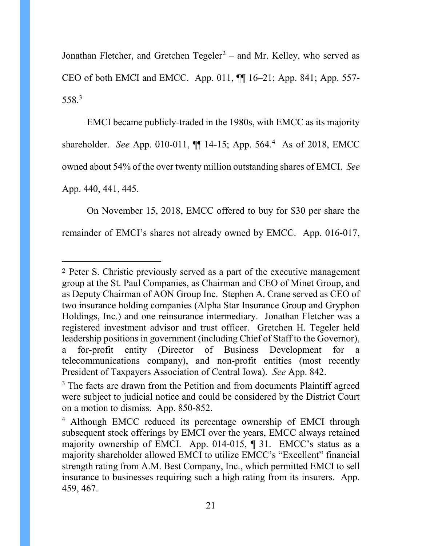Jonathan Fletcher, and Gretchen Tegeler<sup>[2](#page-24-0)</sup> – and Mr. Kelley, who served as CEO of both EMCI and EMCC. App. 011, ¶¶ 16–21; App. 841; App. 557- 558. [3](#page-24-1)

EMCI became publicly-traded in the 1980s, with EMCC as its majority shareholder. *See* App. 010-011, ¶¶ 14-15; App. 564. [4](#page-24-2) As of 2018, EMCC owned about 54% of the over twenty million outstanding shares of EMCI. *See* App. 440, 441, 445.

On November 15, 2018, EMCC offered to buy for \$30 per share the remainder of EMCI's shares not already owned by EMCC. App. 016-017,

 $\overline{a}$ 

<sup>2</sup> Peter S. Christie previously served as a part of the executive management group at the St. Paul Companies, as Chairman and CEO of Minet Group, and as Deputy Chairman of AON Group Inc. Stephen A. Crane served as CEO of two insurance holding companies (Alpha Star Insurance Group and Gryphon Holdings, Inc.) and one reinsurance intermediary. Jonathan Fletcher was a registered investment advisor and trust officer. Gretchen H. Tegeler held leadership positions in government (including Chief of Staff to the Governor), a for-profit entity (Director of Business Development for telecommunications company), and non-profit entities (most recently President of Taxpayers Association of Central Iowa). *See* App. 842.

<sup>&</sup>lt;sup>3</sup> The facts are drawn from the Petition and from documents Plaintiff agreed were subject to judicial notice and could be considered by the District Court on a motion to dismiss. App. 850-852.

<sup>4</sup> Although EMCC reduced its percentage ownership of EMCI through subsequent stock offerings by EMCI over the years, EMCC always retained majority ownership of EMCI. App. 014-015, ¶ 31. EMCC's status as a majority shareholder allowed EMCI to utilize EMCC's "Excellent" financial strength rating from A.M. Best Company, Inc., which permitted EMCI to sell insurance to businesses requiring such a high rating from its insurers. App. 459, 467.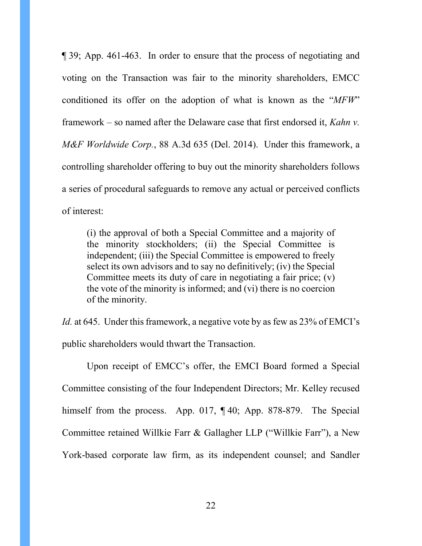¶ 39; App. 461-463. In order to ensure that the process of negotiating and voting on the Transaction was fair to the minority shareholders, EMCC conditioned its offer on the adoption of what is known as the "*MFW*" framework – so named after the Delaware case that first endorsed it, *Kahn v. M&F Worldwide Corp.*, 88 A.3d 635 (Del. 2014). Under this framework, a controlling shareholder offering to buy out the minority shareholders follows a series of procedural safeguards to remove any actual or perceived conflicts of interest:

(i) the approval of both a Special Committee and a majority of the minority stockholders; (ii) the Special Committee is independent; (iii) the Special Committee is empowered to freely select its own advisors and to say no definitively; (iv) the Special Committee meets its duty of care in negotiating a fair price; (v) the vote of the minority is informed; and (vi) there is no coercion of the minority.

*Id.* at 645. Under this framework, a negative vote by as few as 23% of EMCI's public shareholders would thwart the Transaction.

Upon receipt of EMCC's offer, the EMCI Board formed a Special Committee consisting of the four Independent Directors; Mr. Kelley recused himself from the process. App. 017, ¶40; App. 878-879. The Special Committee retained Willkie Farr & Gallagher LLP ("Willkie Farr"), a New York-based corporate law firm, as its independent counsel; and Sandler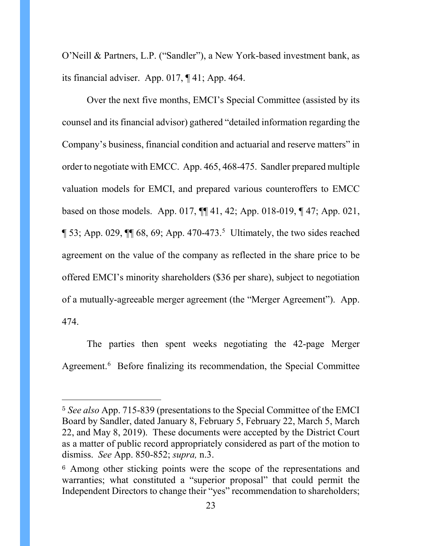O'Neill & Partners, L.P. ("Sandler"), a New York-based investment bank, as its financial adviser. App. 017, ¶ 41; App. 464.

Over the next five months, EMCI's Special Committee (assisted by its counsel and its financial advisor) gathered "detailed information regarding the Company's business, financial condition and actuarial and reserve matters" in order to negotiate with EMCC. App. 465, 468-475. Sandler prepared multiple valuation models for EMCI, and prepared various counteroffers to EMCC based on those models. App. 017, ¶¶ 41, 42; App. 018-019, ¶ 47; App. 021,  $\[\,53;$  $\[\,53;$  $\[\,53;$  App. 029,  $\[\,\]$  68, 69; App. 470-473.<sup>5</sup> Ultimately, the two sides reached agreement on the value of the company as reflected in the share price to be offered EMCI's minority shareholders (\$36 per share), subject to negotiation of a mutually-agreeable merger agreement (the "Merger Agreement"). App. 474.

The parties then spent weeks negotiating the 42-page Merger Agreement. [6](#page-27-0) Before finalizing its recommendation, the Special Committee

 $\overline{a}$ 

<sup>5</sup> *See also* App. 715-839 (presentations to the Special Committee of the EMCI Board by Sandler, dated January 8, February 5, February 22, March 5, March 22, and May 8, 2019). These documents were accepted by the District Court as a matter of public record appropriately considered as part of the motion to dismiss. *See* App. 850-852; *supra,* n.3.

<sup>&</sup>lt;sup>6</sup> Among other sticking points were the scope of the representations and warranties; what constituted a "superior proposal" that could permit the Independent Directors to change their "yes" recommendation to shareholders;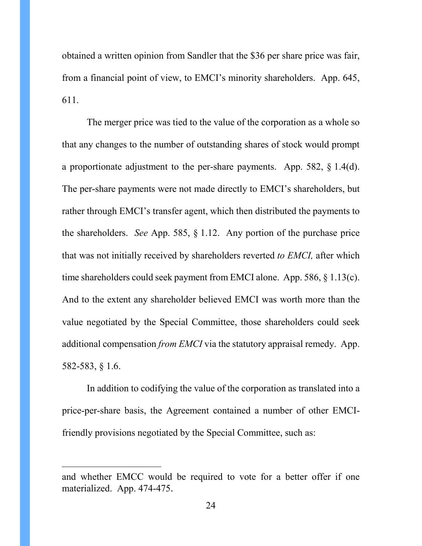obtained a written opinion from Sandler that the \$36 per share price was fair, from a financial point of view, to EMCI's minority shareholders. App. 645, 611.

The merger price was tied to the value of the corporation as a whole so that any changes to the number of outstanding shares of stock would prompt a proportionate adjustment to the per-share payments. App. 582, § 1.4(d). The per-share payments were not made directly to EMCI's shareholders, but rather through EMCI's transfer agent, which then distributed the payments to the shareholders. *See* App. 585, § 1.12. Any portion of the purchase price that was not initially received by shareholders reverted *to EMCI,* after which time shareholders could seek payment from EMCI alone. App. 586, § 1.13(c). And to the extent any shareholder believed EMCI was worth more than the value negotiated by the Special Committee, those shareholders could seek additional compensation *from EMCI* via the statutory appraisal remedy. App. 582-583, § 1.6.

In addition to codifying the value of the corporation as translated into a price-per-share basis, the Agreement contained a number of other EMCIfriendly provisions negotiated by the Special Committee, such as:

<span id="page-23-0"></span> $\overline{a}$ 

and whether EMCC would be required to vote for a better offer if one materialized. App. 474-475.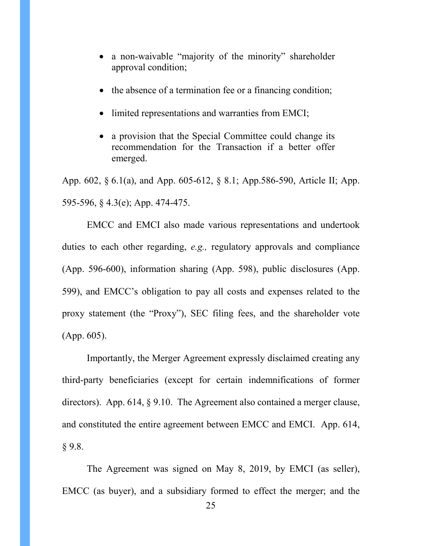- a non-waivable "majority of the minority" shareholder approval condition;
- the absence of a termination fee or a financing condition;
- limited representations and warranties from EMCI;
- a provision that the Special Committee could change its recommendation for the Transaction if a better offer emerged.

App. 602, § 6.1(a), and App. 605-612, § 8.1; App.586-590, Article II; App. 595-596, § 4.3(e); App. 474-475.

EMCC and EMCI also made various representations and undertook duties to each other regarding, *e.g.,* regulatory approvals and compliance (App. 596-600), information sharing (App. 598), public disclosures (App. 599), and EMCC's obligation to pay all costs and expenses related to the proxy statement (the "Proxy"), SEC filing fees, and the shareholder vote (App. 605).

<span id="page-24-1"></span><span id="page-24-0"></span>Importantly, the Merger Agreement expressly disclaimed creating any third-party beneficiaries (except for certain indemnifications of former directors). App. 614, § 9.10. The Agreement also contained a merger clause, and constituted the entire agreement between EMCC and EMCI. App. 614,  $§ 9.8.$ 

<span id="page-24-2"></span>The Agreement was signed on May 8, 2019, by EMCI (as seller), EMCC (as buyer), and a subsidiary formed to effect the merger; and the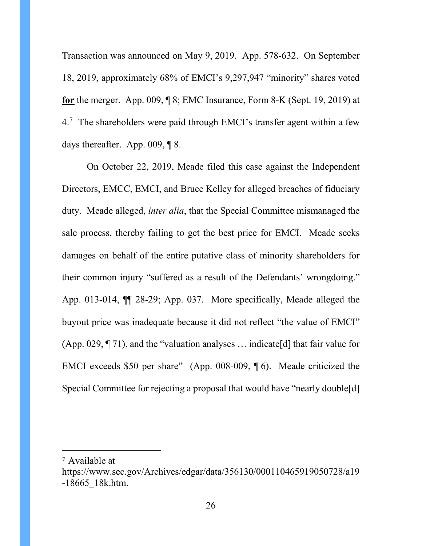Transaction was announced on May 9, 2019. App. 578-632. On September 18, 2019, approximately 68% of EMCI's 9,297,947 "minority" shares voted **for** the merger. App. 009, ¶ 8; EMC Insurance, Form 8-K (Sept. 19, 2019) at  $4.7$  $4.7$  The shareholders were paid through EMCI's transfer agent within a few days thereafter. App. 009, ¶ 8.

On October 22, 2019, Meade filed this case against the Independent Directors, EMCC, EMCI, and Bruce Kelley for alleged breaches of fiduciary duty. Meade alleged, *inter alia*, that the Special Committee mismanaged the sale process, thereby failing to get the best price for EMCI. Meade seeks damages on behalf of the entire putative class of minority shareholders for their common injury "suffered as a result of the Defendants' wrongdoing." App. 013-014, ¶¶ 28-29; App. 037. More specifically, Meade alleged the buyout price was inadequate because it did not reflect "the value of EMCI" (App. 029,  $\P$  71), and the "valuation analyses ... indicate [d] that fair value for EMCI exceeds \$50 per share" (App. 008-009, ¶ 6). Meade criticized the Special Committee for rejecting a proposal that would have "nearly double[d]

 $\overline{a}$ 

<sup>7</sup> Available at

https://www.sec.gov/Archives/edgar/data/356130/000110465919050728/a19 -18665\_18k.htm.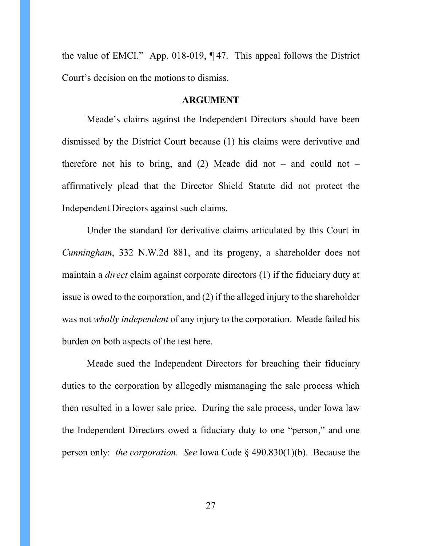the value of EMCI." App. 018-019, ¶ 47. This appeal follows the District Court's decision on the motions to dismiss.

## **ARGUMENT**

<span id="page-26-0"></span>Meade's claims against the Independent Directors should have been dismissed by the District Court because (1) his claims were derivative and therefore not his to bring, and  $(2)$  Meade did not – and could not – affirmatively plead that the Director Shield Statute did not protect the Independent Directors against such claims.

Under the standard for derivative claims articulated by this Court in *Cunningham*, 332 N.W.2d 881, and its progeny, a shareholder does not maintain a *direct* claim against corporate directors (1) if the fiduciary duty at issue is owed to the corporation, and (2) if the alleged injury to the shareholder was not *wholly independent* of any injury to the corporation. Meade failed his burden on both aspects of the test here.

<span id="page-26-1"></span>Meade sued the Independent Directors for breaching their fiduciary duties to the corporation by allegedly mismanaging the sale process which then resulted in a lower sale price. During the sale process, under Iowa law the Independent Directors owed a fiduciary duty to one "person," and one person only: *the corporation. See* Iowa Code § 490.830(1)(b). Because the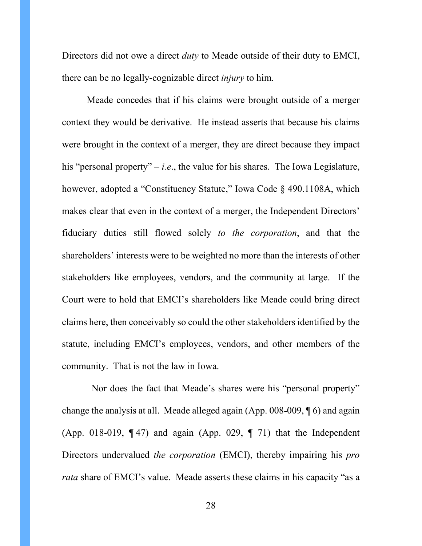Directors did not owe a direct *duty* to Meade outside of their duty to EMCI, there can be no legally-cognizable direct *injury* to him.

Meade concedes that if his claims were brought outside of a merger context they would be derivative. He instead asserts that because his claims were brought in the context of a merger, they are direct because they impact his "personal property"  $-i.e.,$  the value for his shares. The Iowa Legislature, however, adopted a "Constituency Statute," Iowa Code § 490.1108A, which makes clear that even in the context of a merger, the Independent Directors' fiduciary duties still flowed solely *to the corporation*, and that the shareholders' interests were to be weighted no more than the interests of other stakeholders like employees, vendors, and the community at large. If the Court were to hold that EMCI's shareholders like Meade could bring direct claims here, then conceivably so could the other stakeholders identified by the statute, including EMCI's employees, vendors, and other members of the community. That is not the law in Iowa.

<span id="page-27-0"></span> Nor does the fact that Meade's shares were his "personal property" change the analysis at all. Meade alleged again (App. 008-009, ¶ 6) and again (App. 018-019,  $\P$  47) and again (App. 029,  $\P$  71) that the Independent Directors undervalued *the corporation* (EMCI), thereby impairing his *pro rata* share of EMCI's value. Meade asserts these claims in his capacity "as a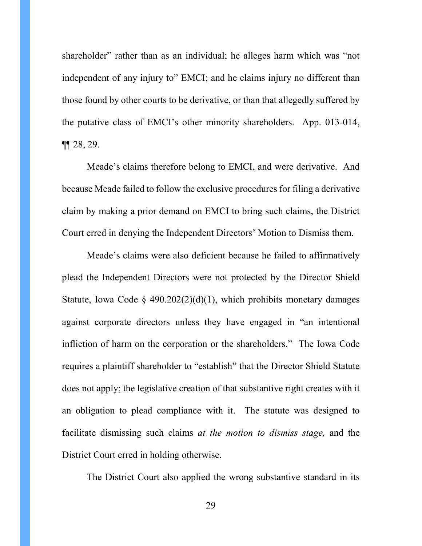shareholder" rather than as an individual; he alleges harm which was "not independent of any injury to" EMCI; and he claims injury no different than those found by other courts to be derivative, or than that allegedly suffered by the putative class of EMCI's other minority shareholders. App. 013-014,  $\P$ [28, 29.

Meade's claims therefore belong to EMCI, and were derivative. And because Meade failed to follow the exclusive procedures for filing a derivative claim by making a prior demand on EMCI to bring such claims, the District Court erred in denying the Independent Directors' Motion to Dismiss them.

Meade's claims were also deficient because he failed to affirmatively plead the Independent Directors were not protected by the Director Shield Statute, Iowa Code § 490.202(2)(d)(1), which prohibits monetary damages against corporate directors unless they have engaged in "an intentional infliction of harm on the corporation or the shareholders." The Iowa Code requires a plaintiff shareholder to "establish" that the Director Shield Statute does not apply; the legislative creation of that substantive right creates with it an obligation to plead compliance with it. The statute was designed to facilitate dismissing such claims *at the motion to dismiss stage,* and the District Court erred in holding otherwise.

The District Court also applied the wrong substantive standard in its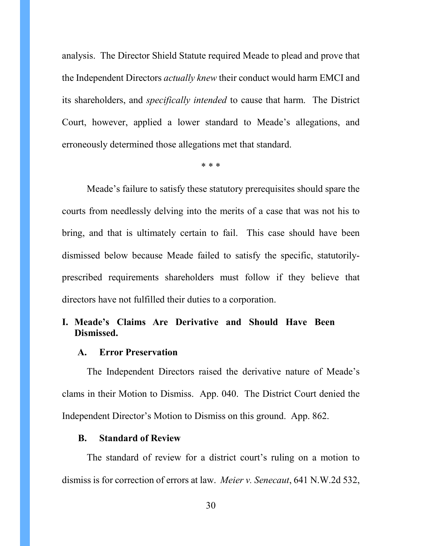analysis. The Director Shield Statute required Meade to plead and prove that the Independent Directors *actually knew* their conduct would harm EMCI and its shareholders, and *specifically intended* to cause that harm. The District Court, however, applied a lower standard to Meade's allegations, and erroneously determined those allegations met that standard.

\* \* \*

Meade's failure to satisfy these statutory prerequisites should spare the courts from needlessly delving into the merits of a case that was not his to bring, and that is ultimately certain to fail. This case should have been dismissed below because Meade failed to satisfy the specific, statutorilyprescribed requirements shareholders must follow if they believe that directors have not fulfilled their duties to a corporation.

# <span id="page-29-0"></span>**I. Meade's Claims Are Derivative and Should Have Been Dismissed.**

## <span id="page-29-1"></span>**A. Error Preservation**

The Independent Directors raised the derivative nature of Meade's clams in their Motion to Dismiss. App. 040. The District Court denied the Independent Director's Motion to Dismiss on this ground. App. 862.

## <span id="page-29-2"></span>**B. Standard of Review**

<span id="page-29-3"></span>The standard of review for a district court's ruling on a motion to dismiss is for correction of errors at law. *Meier v. Senecaut*, 641 N.W.2d 532,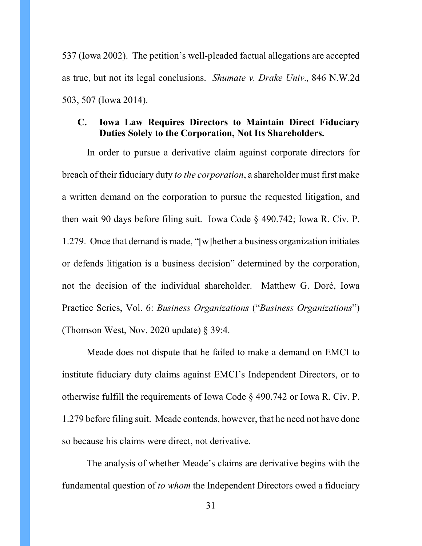537 (Iowa 2002). The petition's well-pleaded factual allegations are accepted as true, but not its legal conclusions. *Shumate v. Drake Univ.,* 846 N.W.2d 503, 507 (Iowa 2014).

# <span id="page-30-0"></span>**C. Iowa Law Requires Directors to Maintain Direct Fiduciary Duties Solely to the Corporation, Not Its Shareholders.**

In order to pursue a derivative claim against corporate directors for breach of their fiduciary duty *to the corporation*, a shareholder must first make a written demand on the corporation to pursue the requested litigation, and then wait 90 days before filing suit. Iowa Code § 490.742; Iowa R. Civ. P. 1.279. Once that demand is made, "[w]hether a business organization initiates or defends litigation is a business decision" determined by the corporation, not the decision of the individual shareholder. Matthew G. Doré, Iowa Practice Series, Vol. 6: *Business Organizations* ("*Business Organizations*") (Thomson West, Nov. 2020 update)  $\S$  39:4.

Meade does not dispute that he failed to make a demand on EMCI to institute fiduciary duty claims against EMCI's Independent Directors, or to otherwise fulfill the requirements of Iowa Code § 490.742 or Iowa R. Civ. P. 1.279 before filing suit. Meade contends, however, that he need not have done so because his claims were direct, not derivative.

The analysis of whether Meade's claims are derivative begins with the fundamental question of *to whom* the Independent Directors owed a fiduciary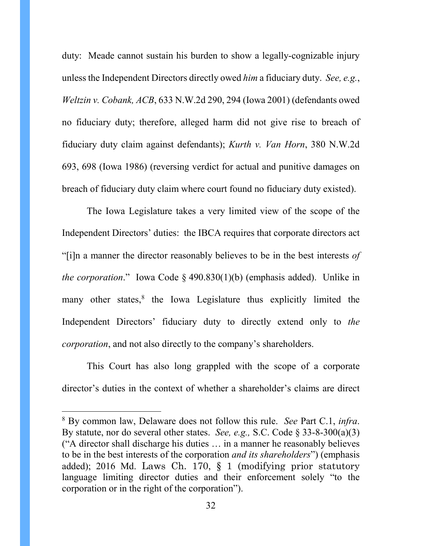duty: Meade cannot sustain his burden to show a legally-cognizable injury unless the Independent Directors directly owed *him* a fiduciary duty. *See, e.g.*, *Weltzin v. Cobank, ACB*, 633 N.W.2d 290, 294 (Iowa 2001) (defendants owed no fiduciary duty; therefore, alleged harm did not give rise to breach of fiduciary duty claim against defendants); *Kurth v. Van Horn*, 380 N.W.2d 693, 698 (Iowa 1986) (reversing verdict for actual and punitive damages on breach of fiduciary duty claim where court found no fiduciary duty existed).

The Iowa Legislature takes a very limited view of the scope of the Independent Directors' duties: the IBCA requires that corporate directors act "[i]n a manner the director reasonably believes to be in the best interests *of the corporation*." Iowa Code § 490.830(1)(b) (emphasis added). Unlike in many other states, $8$  the Iowa Legislature thus explicitly limited the Independent Directors' fiduciary duty to directly extend only to *the corporation*, and not also directly to the company's shareholders.

This Court has also long grappled with the scope of a corporate director's duties in the context of whether a shareholder's claims are direct

 <sup>8</sup> By common law, Delaware does not follow this rule. *See* Part C.1, *infra*. By statute, nor do several other states. *See, e.g.,* S.C. Code § 33-8-300(a)(3) ("A director shall discharge his duties … in a manner he reasonably believes to be in the best interests of the corporation *and its shareholders*") (emphasis added); 2016 Md. Laws Ch. 170, § 1 (modifying prior statutory language limiting director duties and their enforcement solely "to the corporation or in the right of the corporation").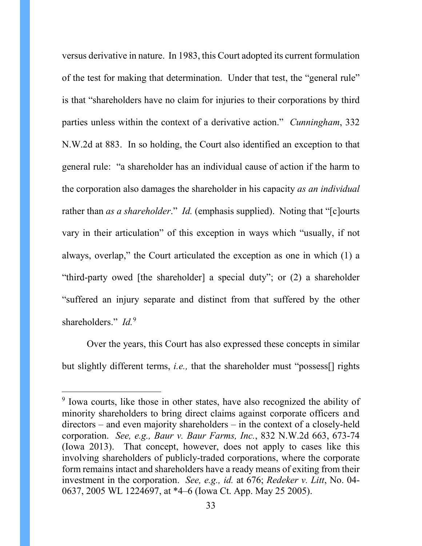versus derivative in nature. In 1983, this Court adopted its current formulation of the test for making that determination. Under that test, the "general rule" is that "shareholders have no claim for injuries to their corporations by third parties unless within the context of a derivative action." *Cunningham*, 332 N.W.2d at 883. In so holding, the Court also identified an exception to that general rule: "a shareholder has an individual cause of action if the harm to the corporation also damages the shareholder in his capacity *as an individual* rather than *as a shareholder.*" *Id.* (emphasis supplied). Noting that "[c]ourts vary in their articulation" of this exception in ways which "usually, if not always, overlap," the Court articulated the exception as one in which (1) a "third-party owed [the shareholder] a special duty"; or (2) a shareholder "suffered an injury separate and distinct from that suffered by the other shareholders." *Id.*[9](#page-37-0)

Over the years, this Court has also expressed these concepts in similar but slightly different terms, *i.e.,* that the shareholder must "possess[] rights

<sup>&</sup>lt;sup>9</sup> Iowa courts, like those in other states, have also recognized the ability of minority shareholders to bring direct claims against corporate officers and directors – and even majority shareholders – in the context of a closely-held corporation. *See, e.g., Baur v. Baur Farms, Inc.*, 832 N.W.2d 663, 673-74 (Iowa 2013). That concept, however, does not apply to cases like this involving shareholders of publicly-traded corporations, where the corporate form remains intact and shareholders have a ready means of exiting from their investment in the corporation. *See, e.g., id.* at 676; *Redeker v. Litt*, No. 04- 0637, 2005 WL 1224697, at \*4–6 (Iowa Ct. App. May 25 2005).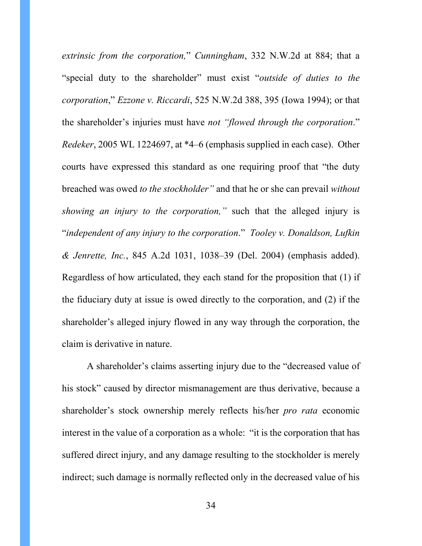*extrinsic from the corporation,*" *Cunningham*, 332 N.W.2d at 884; that a "special duty to the shareholder" must exist "*outside of duties to the corporation*," *Ezzone v. Riccardi*, 525 N.W.2d 388, 395 (Iowa 1994); or that the shareholder's injuries must have *not "flowed through the corporation*." *Redeker*, 2005 WL 1224697, at \*4–6 (emphasis supplied in each case). Other courts have expressed this standard as one requiring proof that "the duty breached was owed *to the stockholder"* and that he or she can prevail *without showing an injury to the corporation,"* such that the alleged injury is "*independent of any injury to the corporation*." *Tooley v. Donaldson, Lufkin & Jenrette, Inc.*, 845 A.2d 1031, 1038–39 (Del. 2004) (emphasis added). Regardless of how articulated, they each stand for the proposition that (1) if the fiduciary duty at issue is owed directly to the corporation, and (2) if the shareholder's alleged injury flowed in any way through the corporation, the claim is derivative in nature.

A shareholder's claims asserting injury due to the "decreased value of his stock" caused by director mismanagement are thus derivative, because a shareholder's stock ownership merely reflects his/her *pro rata* economic interest in the value of a corporation as a whole: "it is the corporation that has suffered direct injury, and any damage resulting to the stockholder is merely indirect; such damage is normally reflected only in the decreased value of his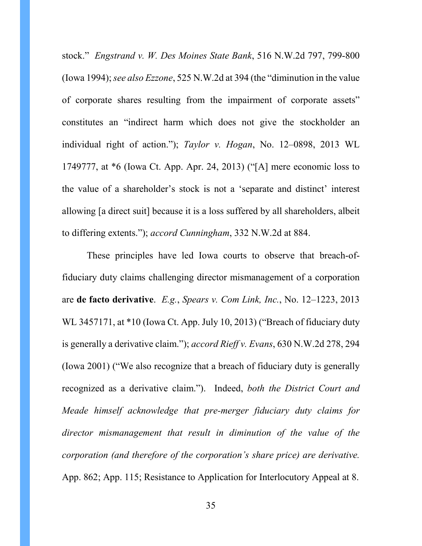stock." *Engstrand v. W. Des Moines State Bank*, 516 N.W.2d 797, 799-800 (Iowa 1994); *see also Ezzone*, 525 N.W.2d at 394 (the "diminution in the value of corporate shares resulting from the impairment of corporate assets" constitutes an "indirect harm which does not give the stockholder an individual right of action."); *Taylor v. Hogan*, No. 12–0898, 2013 WL 1749777, at \*6 (Iowa Ct. App. Apr. 24, 2013) ("[A] mere economic loss to the value of a shareholder's stock is not a 'separate and distinct' interest allowing [a direct suit] because it is a loss suffered by all shareholders, albeit to differing extents."); *accord Cunningham*, 332 N.W.2d at 884.

These principles have led Iowa courts to observe that breach-offiduciary duty claims challenging director mismanagement of a corporation are **de facto derivative**. *E.g.*, *Spears v. Com Link, Inc.*, No. 12–1223, 2013 WL 3457171, at \*10 (Iowa Ct. App. July 10, 2013) ("Breach of fiduciary duty" is generally a derivative claim."); *accord Rieff v. Evans*, 630 N.W.2d 278, 294 (Iowa 2001) ("We also recognize that a breach of fiduciary duty is generally recognized as a derivative claim."). Indeed, *both the District Court and Meade himself acknowledge that pre-merger fiduciary duty claims for director mismanagement that result in diminution of the value of the corporation (and therefore of the corporation's share price) are derivative.* App. 862; App. 115; Resistance to Application for Interlocutory Appeal at 8.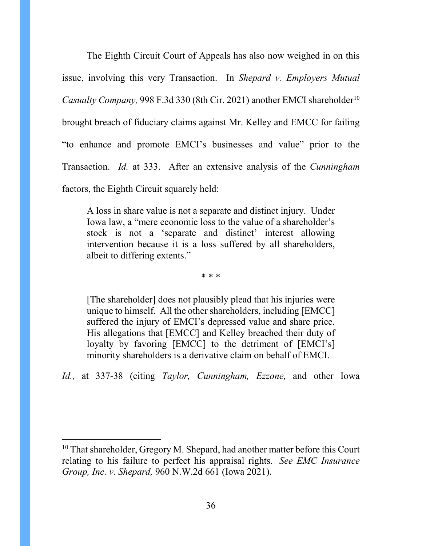The Eighth Circuit Court of Appeals has also now weighed in on this issue, involving this very Transaction. In *Shepard v. Employers Mutual Casualty Company, 998 F.3d 330 (8th Cir. 2021) another EMCI shareholder*<sup>10</sup> brought breach of fiduciary claims against Mr. Kelley and EMCC for failing "to enhance and promote EMCI's businesses and value" prior to the Transaction. *Id.* at 333. After an extensive analysis of the *Cunningham*  factors, the Eighth Circuit squarely held:

A loss in share value is not a separate and distinct injury. Under Iowa law, a "mere economic loss to the value of a shareholder's stock is not a 'separate and distinct' interest allowing intervention because it is a loss suffered by all shareholders, albeit to differing extents."

\* \* \*

[The shareholder] does not plausibly plead that his injuries were unique to himself. All the other shareholders, including [EMCC] suffered the injury of EMCI's depressed value and share price. His allegations that [EMCC] and Kelley breached their duty of loyalty by favoring [EMCC] to the detriment of [EMCI's] minority shareholders is a derivative claim on behalf of EMCI.

*Id.,* at 337-38 (citing *Taylor, Cunningham, Ezzone,* and other Iowa

 $10$  That shareholder, Gregory M. Shepard, had another matter before this Court relating to his failure to perfect his appraisal rights. *See EMC Insurance Group, Inc. v. Shepard,* 960 N.W.2d 661 (Iowa 2021).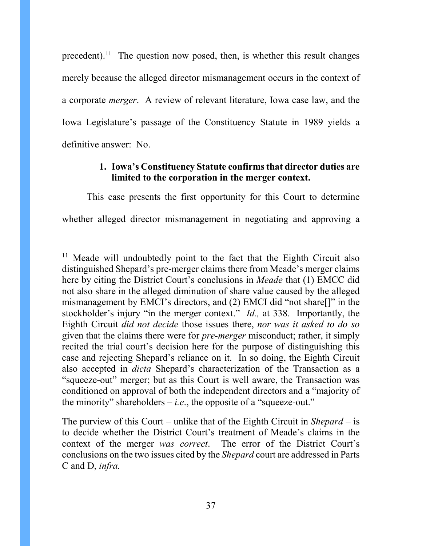precedent).<sup>11</sup> The question now posed, then, is whether this result changes merely because the alleged director mismanagement occurs in the context of a corporate *merger*. A review of relevant literature, Iowa case law, and the Iowa Legislature's passage of the Constituency Statute in 1989 yields a definitive answer: No.

## **1. Iowa's Constituency Statute confirms that director duties are limited to the corporation in the merger context.**

This case presents the first opportunity for this Court to determine whether alleged director mismanagement in negotiating and approving a

<sup>&</sup>lt;sup>11</sup> Meade will undoubtedly point to the fact that the Eighth Circuit also distinguished Shepard's pre-merger claims there from Meade's merger claims here by citing the District Court's conclusions in *Meade* that (1) EMCC did not also share in the alleged diminution of share value caused by the alleged mismanagement by EMCI's directors, and (2) EMCI did "not share[]" in the stockholder's injury "in the merger context." *Id.,* at 338. Importantly, the Eighth Circuit *did not decide* those issues there, *nor was it asked to do so* given that the claims there were for *pre-merger* misconduct; rather, it simply recited the trial court's decision here for the purpose of distinguishing this case and rejecting Shepard's reliance on it. In so doing, the Eighth Circuit also accepted in *dicta* Shepard's characterization of the Transaction as a "squeeze-out" merger; but as this Court is well aware, the Transaction was conditioned on approval of both the independent directors and a "majority of the minority" shareholders  $-i.e.,$  the opposite of a "squeeze-out."

The purview of this Court – unlike that of the Eighth Circuit in *Shepard* – is to decide whether the District Court's treatment of Meade's claims in the context of the merger *was correct*. The error of the District Court's conclusions on the two issues cited by the *Shepard* court are addressed in Parts C and D, *infra.*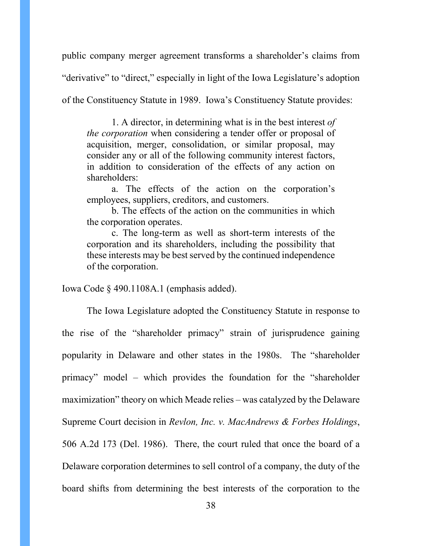public company merger agreement transforms a shareholder's claims from

"derivative" to "direct," especially in light of the Iowa Legislature's adoption

of the Constituency Statute in 1989. Iowa's Constituency Statute provides:

1. A director, in determining what is in the best interest *of the corporation* when considering a tender offer or proposal of acquisition, merger, consolidation, or similar proposal, may consider any or all of the following community interest factors, in addition to consideration of the effects of any action on shareholders:

a. The effects of the action on the corporation's employees, suppliers, creditors, and customers.

b. The effects of the action on the communities in which the corporation operates.

c. The long-term as well as short-term interests of the corporation and its shareholders, including the possibility that these interests may be best served by the continued independence of the corporation.

Iowa Code § 490.1108A.1 (emphasis added).

The Iowa Legislature adopted the Constituency Statute in response to the rise of the "shareholder primacy" strain of jurisprudence gaining popularity in Delaware and other states in the 1980s. The "shareholder primacy" model – which provides the foundation for the "shareholder maximization" theory on which Meade relies – was catalyzed by the Delaware Supreme Court decision in *Revlon, Inc. v. MacAndrews & Forbes Holdings*, 506 A.2d 173 (Del. 1986). There, the court ruled that once the board of a Delaware corporation determines to sell control of a company, the duty of the board shifts from determining the best interests of the corporation to the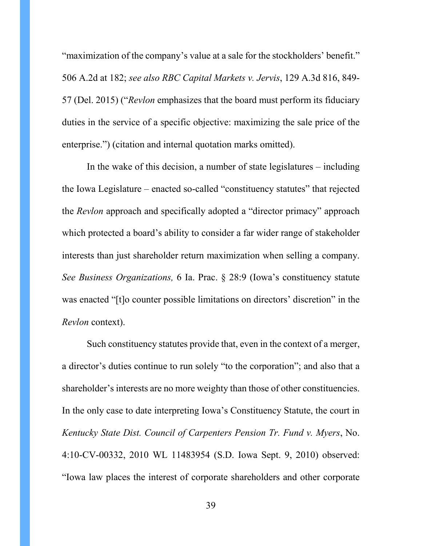"maximization of the company's value at a sale for the stockholders' benefit." 506 A.2d at 182; *see also RBC Capital Markets v. Jervis*, 129 A.3d 816, 849- 57 (Del. 2015) ("*Revlon* emphasizes that the board must perform its fiduciary duties in the service of a specific objective: maximizing the sale price of the enterprise.") (citation and internal quotation marks omitted).

In the wake of this decision, a number of state legislatures – including the Iowa Legislature – enacted so-called "constituency statutes" that rejected the *Revlon* approach and specifically adopted a "director primacy" approach which protected a board's ability to consider a far wider range of stakeholder interests than just shareholder return maximization when selling a company. *See Business Organizations,* 6 Ia. Prac. § 28:9 (Iowa's constituency statute was enacted "[t]o counter possible limitations on directors' discretion" in the *Revlon* context).

Such constituency statutes provide that, even in the context of a merger, a director's duties continue to run solely "to the corporation"; and also that a shareholder's interests are no more weighty than those of other constituencies. In the only case to date interpreting Iowa's Constituency Statute, the court in *Kentucky State Dist. Council of Carpenters Pension Tr. Fund v. Myers*, No. 4:10-CV-00332, 2010 WL 11483954 (S.D. Iowa Sept. 9, 2010) observed: "Iowa law places the interest of corporate shareholders and other corporate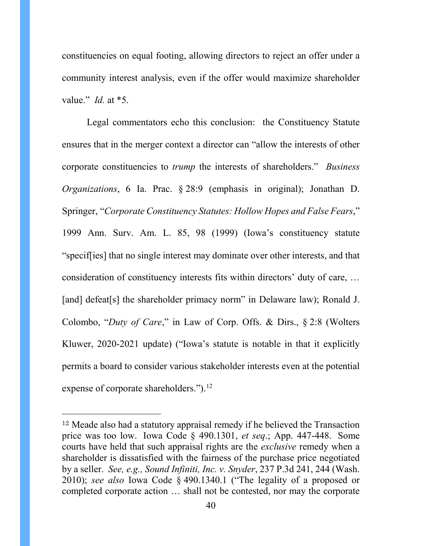constituencies on equal footing, allowing directors to reject an offer under a community interest analysis, even if the offer would maximize shareholder value." *Id.* at \*5.

Legal commentators echo this conclusion: the Constituency Statute ensures that in the merger context a director can "allow the interests of other corporate constituencies to *trump* the interests of shareholders." *Business Organizations*, 6 Ia. Prac. § 28:9 (emphasis in original); Jonathan D. Springer, "*Corporate Constituency Statutes: Hollow Hopes and False Fears*," 1999 Ann. Surv. Am. L. 85, 98 (1999) (Iowa's constituency statute "specif[ies] that no single interest may dominate over other interests, and that consideration of constituency interests fits within directors' duty of care, … [and] defeat[s] the shareholder primacy norm" in Delaware law); Ronald J. Colombo, "*Duty of Care*," in Law of Corp. Offs. & Dirs., § 2:8 (Wolters Kluwer, 2020-2021 update) ("Iowa's statute is notable in that it explicitly permits a board to consider various stakeholder interests even at the potential expense of corporate shareholders.").<sup>[12](#page-45-0)</sup>

<sup>12</sup> Meade also had a statutory appraisal remedy if he believed the Transaction price was too low. Iowa Code § 490.1301, *et seq*.; App. 447-448. Some courts have held that such appraisal rights are the *exclusive* remedy when a shareholder is dissatisfied with the fairness of the purchase price negotiated by a seller. *See, e.g., Sound Infiniti, Inc. v. Snyder*, 237 P.3d 241, 244 (Wash. 2010); *see also* Iowa Code § 490.1340.1 ("The legality of a proposed or completed corporate action … shall not be contested, nor may the corporate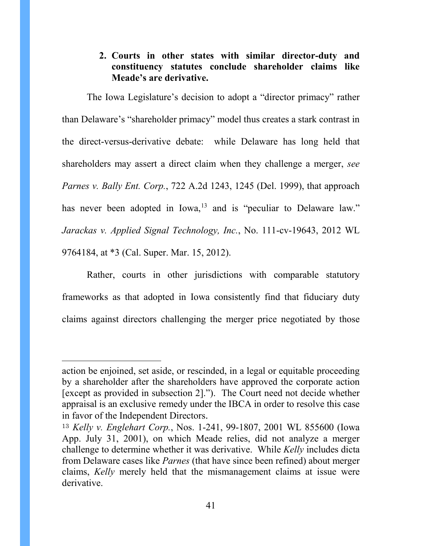# **2. Courts in other states with similar director-duty and constituency statutes conclude shareholder claims like Meade's are derivative.**

The Iowa Legislature's decision to adopt a "director primacy" rather than Delaware's "shareholder primacy" model thus creates a stark contrast in the direct-versus-derivative debate: while Delaware has long held that shareholders may assert a direct claim when they challenge a merger, *see Parnes v. Bally Ent. Corp.*, 722 A.2d 1243, 1245 (Del. 1999), that approach has never been adopted in Iowa,<sup>[13](#page-45-1)</sup> and is "peculiar to Delaware law." *Jarackas v. Applied Signal Technology, Inc.*, No. 111-cv-19643, 2012 WL 9764184, at \*3 (Cal. Super. Mar. 15, 2012).

Rather, courts in other jurisdictions with comparable statutory frameworks as that adopted in Iowa consistently find that fiduciary duty claims against directors challenging the merger price negotiated by those

action be enjoined, set aside, or rescinded, in a legal or equitable proceeding by a shareholder after the shareholders have approved the corporate action [except as provided in subsection 2]."). The Court need not decide whether appraisal is an exclusive remedy under the IBCA in order to resolve this case in favor of the Independent Directors.

<sup>13</sup> *Kelly v. Englehart Corp.*, Nos. 1-241, 99-1807, 2001 WL 855600 (Iowa App. July 31, 2001), on which Meade relies, did not analyze a merger challenge to determine whether it was derivative. While *Kelly* includes dicta from Delaware cases like *Parnes* (that have since been refined) about merger claims, *Kelly* merely held that the mismanagement claims at issue were derivative.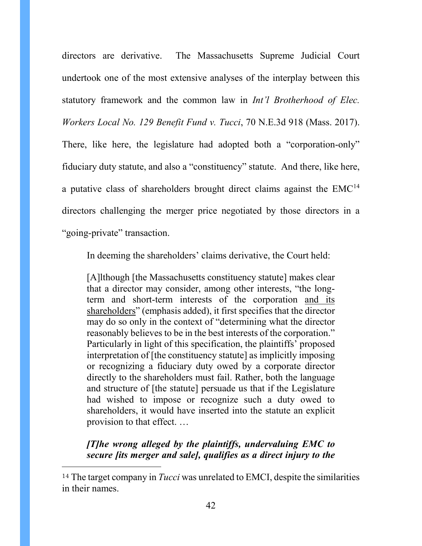directors are derivative. The Massachusetts Supreme Judicial Court undertook one of the most extensive analyses of the interplay between this statutory framework and the common law in *Int'l Brotherhood of Elec. Workers Local No. 129 Benefit Fund v. Tucci*, 70 N.E.3d 918 (Mass. 2017). There, like here, the legislature had adopted both a "corporation-only" fiduciary duty statute, and also a "constituency" statute. And there, like here, a putative class of shareholders brought direct claims against the  $EMC<sup>14</sup>$  $EMC<sup>14</sup>$  $EMC<sup>14</sup>$ directors challenging the merger price negotiated by those directors in a "going-private" transaction.

<span id="page-41-0"></span>In deeming the shareholders' claims derivative, the Court held:

[A]lthough [the Massachusetts constituency statute] makes clear that a director may consider, among other interests, "the longterm and short-term interests of the corporation and its shareholders" (emphasis added), it first specifies that the director may do so only in the context of "determining what the director reasonably believes to be in the best interests of the corporation." Particularly in light of this specification, the plaintiffs' proposed interpretation of [the constituency statute] as implicitly imposing or recognizing a fiduciary duty owed by a corporate director directly to the shareholders must fail. Rather, both the language and structure of [the statute] persuade us that if the Legislature had wished to impose or recognize such a duty owed to shareholders, it would have inserted into the statute an explicit provision to that effect. …

*[T]he wrong alleged by the plaintiffs, undervaluing EMC to secure [its merger and sale], qualifies as a direct injury to the* 

<sup>14</sup> The target company in *Tucci* was unrelated to EMCI, despite the similarities in their names.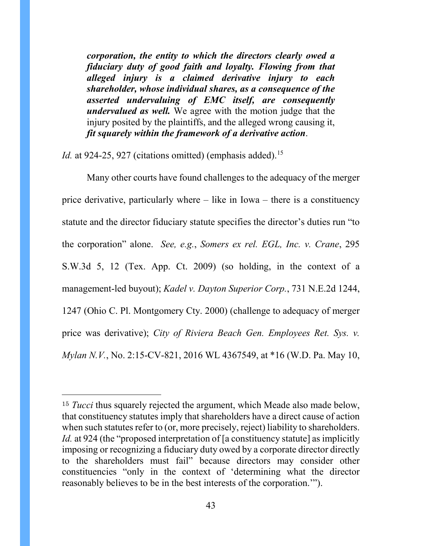*corporation, the entity to which the directors clearly owed a fiduciary duty of good faith and loyalty. Flowing from that alleged injury is a claimed derivative injury to each shareholder, whose individual shares, as a consequence of the asserted undervaluing of EMC itself, are consequently undervalued as well.* We agree with the motion judge that the injury posited by the plaintiffs, and the alleged wrong causing it, *fit squarely within the framework of a derivative action*.

*Id.* at 924-25, 927 (citations omitted) (emphasis added).<sup>[15](#page-47-0)</sup>

 $\overline{a}$ 

Many other courts have found challenges to the adequacy of the merger price derivative, particularly where – like in Iowa – there is a constituency statute and the director fiduciary statute specifies the director's duties run "to the corporation" alone. *See, e.g.*, *Somers ex rel. EGL, Inc. v. Crane*, 295 S.W.3d 5, 12 (Tex. App. Ct. 2009) (so holding, in the context of a management-led buyout); *Kadel v. Dayton Superior Corp.*, 731 N.E.2d 1244, 1247 (Ohio C. Pl. Montgomery Cty. 2000) (challenge to adequacy of merger price was derivative); *City of Riviera Beach Gen. Employees Ret. Sys. v. Mylan N.V.*, No. 2:15-CV-821, 2016 WL 4367549, at \*16 (W.D. Pa. May 10,

<sup>&</sup>lt;sup>15</sup> *Tucci* thus squarely rejected the argument, which Meade also made below, that constituency statutes imply that shareholders have a direct cause of action when such statutes refer to (or, more precisely, reject) liability to shareholders. *Id.* at 924 (the "proposed interpretation of [a constituency statute] as implicitly imposing or recognizing a fiduciary duty owed by a corporate director directly to the shareholders must fail" because directors may consider other constituencies "only in the context of 'determining what the director reasonably believes to be in the best interests of the corporation.'").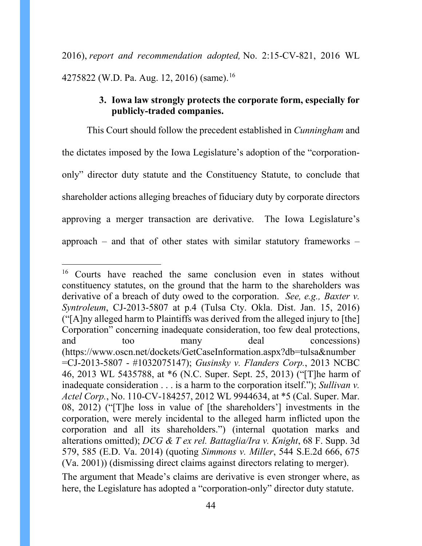2016), *report and recommendation adopted,* No. 2:15-CV-821, 2016 WL 4275822 (W.D. Pa. Aug. 12, 20[16](#page-48-0)) (same).<sup>16</sup>

## **3. Iowa law strongly protects the corporate form, especially for publicly-traded companies.**

This Court should follow the precedent established in *Cunningham* and the dictates imposed by the Iowa Legislature's adoption of the "corporationonly" director duty statute and the Constituency Statute, to conclude that shareholder actions alleging breaches of fiduciary duty by corporate directors approving a merger transaction are derivative. The Iowa Legislature's approach – and that of other states with similar statutory frameworks –

<sup>&</sup>lt;sup>16</sup> Courts have reached the same conclusion even in states without constituency statutes, on the ground that the harm to the shareholders was derivative of a breach of duty owed to the corporation. *See, e.g., Baxter v. Syntroleum*, CJ-2013-5807 at p.4 (Tulsa Cty. Okla. Dist. Jan. 15, 2016) ("[A]ny alleged harm to Plaintiffs was derived from the alleged injury to [the] Corporation" concerning inadequate consideration, too few deal protections, and too many deal concessions) (https://www.oscn.net/dockets/GetCaseInformation.aspx?db=tulsa&number =CJ-2013-5807 - #1032075147); *Gusinsky v. Flanders Corp.*, 2013 NCBC 46, 2013 WL 5435788, at \*6 (N.C. Super. Sept. 25, 2013) ("[T]he harm of inadequate consideration . . . is a harm to the corporation itself."); *Sullivan v. Actel Corp.*, No. 110-CV-184257, 2012 WL 9944634, at \*5 (Cal. Super. Mar. 08, 2012) ("[T]he loss in value of [the shareholders'] investments in the corporation, were merely incidental to the alleged harm inflicted upon the corporation and all its shareholders.") (internal quotation marks and alterations omitted); *DCG & T ex rel. Battaglia/Ira v. Knight*, 68 F. Supp. 3d 579, 585 (E.D. Va. 2014) (quoting *Simmons v. Miller*, 544 S.E.2d 666, 675 (Va. 2001)) (dismissing direct claims against directors relating to merger).

The argument that Meade's claims are derivative is even stronger where, as here, the Legislature has adopted a "corporation-only" director duty statute.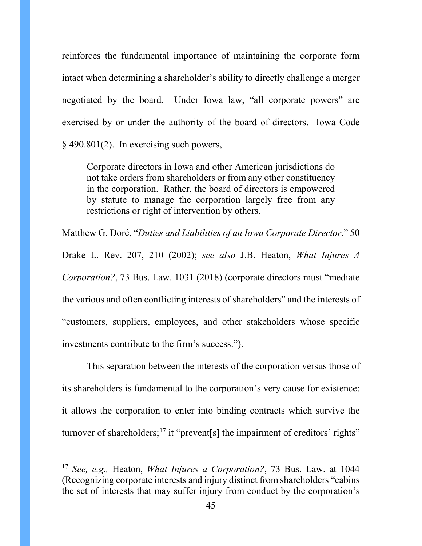reinforces the fundamental importance of maintaining the corporate form intact when determining a shareholder's ability to directly challenge a merger negotiated by the board. Under Iowa law, "all corporate powers" are exercised by or under the authority of the board of directors. Iowa Code § 490.801(2). In exercising such powers,

Corporate directors in Iowa and other American jurisdictions do not take orders from shareholders or from any other constituency in the corporation. Rather, the board of directors is empowered by statute to manage the corporation largely free from any restrictions or right of intervention by others.

Matthew G. Doré, "*Duties and Liabilities of an Iowa Corporate Director*," 50

Drake L. Rev. 207, 210 (2002); *see also* J.B. Heaton, *What Injures A Corporation?*, 73 Bus. Law. 1031 (2018) (corporate directors must "mediate the various and often conflicting interests of shareholders" and the interests of "customers, suppliers, employees, and other stakeholders whose specific investments contribute to the firm's success.").

This separation between the interests of the corporation versus those of its shareholders is fundamental to the corporation's very cause for existence: it allows the corporation to enter into binding contracts which survive the turnover of shareholders;<sup>[17](#page-50-0)</sup> it "prevent<sup>[s]</sup> the impairment of creditors' rights"

 <sup>17</sup> *See, e.g.,* Heaton, *What Injures a Corporation?*, 73 Bus. Law. at 1044 (Recognizing corporate interests and injury distinct from shareholders "cabins the set of interests that may suffer injury from conduct by the corporation's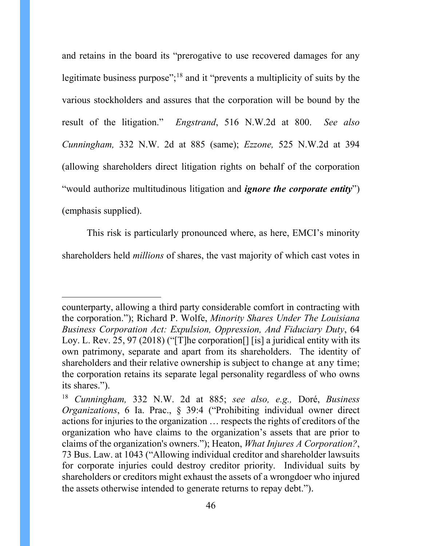and retains in the board its "prerogative to use recovered damages for any legitimate business purpose";<sup>[18](#page-51-0)</sup> and it "prevents a multiplicity of suits by the various stockholders and assures that the corporation will be bound by the result of the litigation." *Engstrand*, 516 N.W.2d at 800. *See also Cunningham,* 332 N.W. 2d at 885 (same); *Ezzone,* 525 N.W.2d at 394 (allowing shareholders direct litigation rights on behalf of the corporation "would authorize multitudinous litigation and *ignore the corporate entity*") (emphasis supplied).

This risk is particularly pronounced where, as here, EMCI's minority shareholders held *millions* of shares, the vast majority of which cast votes in

<span id="page-45-0"></span>counterparty, allowing a third party considerable comfort in contracting with the corporation."); Richard P. Wolfe, *Minority Shares Under The Louisiana Business Corporation Act: Expulsion, Oppression, And Fiduciary Duty*, 64 Loy. L. Rev. 25, 97 (2018) ("[T]he corporation<sup>[]</sup> [is] a juridical entity with its own patrimony, separate and apart from its shareholders. The identity of shareholders and their relative ownership is subject to change at any time; the corporation retains its separate legal personality regardless of who owns its shares.").

<span id="page-45-1"></span><sup>18</sup> *Cunningham,* 332 N.W. 2d at 885; *see also, e.g.,* Doré, *Business Organizations*, 6 Ia. Prac., § 39:4 ("Prohibiting individual owner direct actions for injuries to the organization … respects the rights of creditors of the organization who have claims to the organization's assets that are prior to claims of the organization's owners."); Heaton, *What Injures A Corporation?*, 73 Bus. Law. at 1043 ("Allowing individual creditor and shareholder lawsuits for corporate injuries could destroy creditor priority. Individual suits by shareholders or creditors might exhaust the assets of a wrongdoer who injured the assets otherwise intended to generate returns to repay debt.").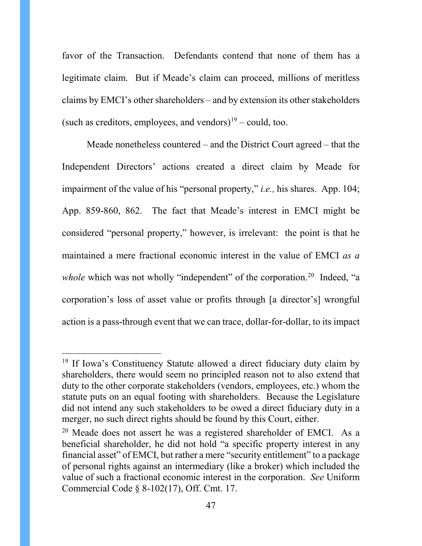favor of the Transaction. Defendants contend that none of them has a legitimate claim. But if Meade's claim can proceed, millions of meritless claims by EMCI's other shareholders – and by extension its other stakeholders (such as creditors, employees, and vendors)<sup>[19](#page-51-1)</sup> – could, too.

Meade nonetheless countered – and the District Court agreed – that the Independent Directors' actions created a direct claim by Meade for impairment of the value of his "personal property," *i.e.,* his shares. App. 104; App. 859-860, 862. The fact that Meade's interest in EMCI might be considered "personal property," however, is irrelevant: the point is that he maintained a mere fractional economic interest in the value of EMCI *as a*  whole which was not wholly "independent" of the corporation.<sup>[20](#page-52-0)</sup> Indeed, "a corporation's loss of asset value or profits through [a director's] wrongful action is a pass-through event that we can trace, dollar-for-dollar, to its impact

<sup>&</sup>lt;sup>19</sup> If Iowa's Constituency Statute allowed a direct fiduciary duty claim by shareholders, there would seem no principled reason not to also extend that duty to the other corporate stakeholders (vendors, employees, etc.) whom the statute puts on an equal footing with shareholders. Because the Legislature did not intend any such stakeholders to be owed a direct fiduciary duty in a merger, no such direct rights should be found by this Court, either.

<span id="page-46-0"></span> $20$  Meade does not assert he was a registered shareholder of EMCI. As a beneficial shareholder, he did not hold "a specific property interest in any financial asset" of EMCI, but rather a mere "security entitlement" to a package of personal rights against an intermediary (like a broker) which included the value of such a fractional economic interest in the corporation. *See* Uniform Commercial Code § 8-102(17), Off. Cmt. 17.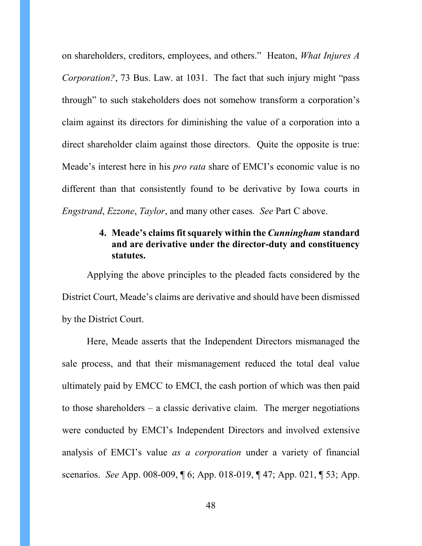on shareholders, creditors, employees, and others." Heaton, *What Injures A Corporation?*, 73 Bus. Law. at 1031. The fact that such injury might "pass through" to such stakeholders does not somehow transform a corporation's claim against its directors for diminishing the value of a corporation into a direct shareholder claim against those directors. Quite the opposite is true: Meade's interest here in his *pro rata* share of EMCI's economic value is no different than that consistently found to be derivative by Iowa courts in *Engstrand*, *Ezzone*, *Taylor*, and many other cases*. See* Part C above.

## **4. Meade's claims fit squarely within the** *Cunningham* **standard and are derivative under the director-duty and constituency statutes.**

Applying the above principles to the pleaded facts considered by the District Court, Meade's claims are derivative and should have been dismissed by the District Court.

<span id="page-47-0"></span>Here, Meade asserts that the Independent Directors mismanaged the sale process, and that their mismanagement reduced the total deal value ultimately paid by EMCC to EMCI, the cash portion of which was then paid to those shareholders – a classic derivative claim. The merger negotiations were conducted by EMCI's Independent Directors and involved extensive analysis of EMCI's value *as a corporation* under a variety of financial scenarios. *See* App. 008-009, ¶ 6; App. 018-019, ¶ 47; App. 021, ¶ 53; App.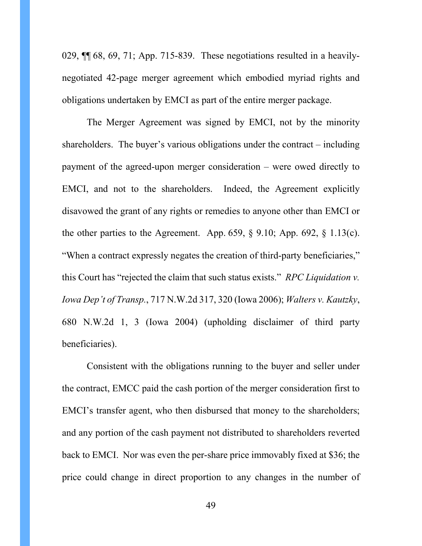029, ¶¶ 68, 69, 71; App. 715-839. These negotiations resulted in a heavilynegotiated 42-page merger agreement which embodied myriad rights and obligations undertaken by EMCI as part of the entire merger package.

The Merger Agreement was signed by EMCI, not by the minority shareholders. The buyer's various obligations under the contract – including payment of the agreed-upon merger consideration – were owed directly to EMCI, and not to the shareholders. Indeed, the Agreement explicitly disavowed the grant of any rights or remedies to anyone other than EMCI or the other parties to the Agreement. App. 659,  $\S$  9.10; App. 692,  $\S$  1.13(c). "When a contract expressly negates the creation of third-party beneficiaries," this Court has "rejected the claim that such status exists." *RPC Liquidation v. Iowa Dep't of Transp.*, 717 N.W.2d 317, 320 (Iowa 2006); *Walters v. Kautzky*, 680 N.W.2d 1, 3 (Iowa 2004) (upholding disclaimer of third party beneficiaries).

<span id="page-48-0"></span>Consistent with the obligations running to the buyer and seller under the contract, EMCC paid the cash portion of the merger consideration first to EMCI's transfer agent, who then disbursed that money to the shareholders; and any portion of the cash payment not distributed to shareholders reverted back to EMCI. Nor was even the per-share price immovably fixed at \$36; the price could change in direct proportion to any changes in the number of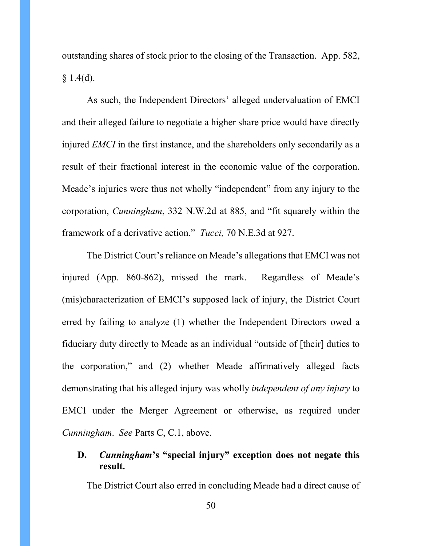outstanding shares of stock prior to the closing of the Transaction. App. 582,  $§ 1.4(d).$ 

As such, the Independent Directors' alleged undervaluation of EMCI and their alleged failure to negotiate a higher share price would have directly injured *EMCI* in the first instance, and the shareholders only secondarily as a result of their fractional interest in the economic value of the corporation. Meade's injuries were thus not wholly "independent" from any injury to the corporation, *Cunningham*, 332 N.W.2d at 885, and "fit squarely within the framework of a derivative action." *Tucci,* 70 N.E.3d at 927.

The District Court's reliance on Meade's allegations that EMCI was not injured (App. 860-862), missed the mark. Regardless of Meade's (mis)characterization of EMCI's supposed lack of injury, the District Court erred by failing to analyze (1) whether the Independent Directors owed a fiduciary duty directly to Meade as an individual "outside of [their] duties to the corporation," and (2) whether Meade affirmatively alleged facts demonstrating that his alleged injury was wholly *independent of any injury* to EMCI under the Merger Agreement or otherwise, as required under *Cunningham*. *See* Parts C, C.1, above.

# **D.** *Cunningham***'s "special injury" exception does not negate this result.**

The District Court also erred in concluding Meade had a direct cause of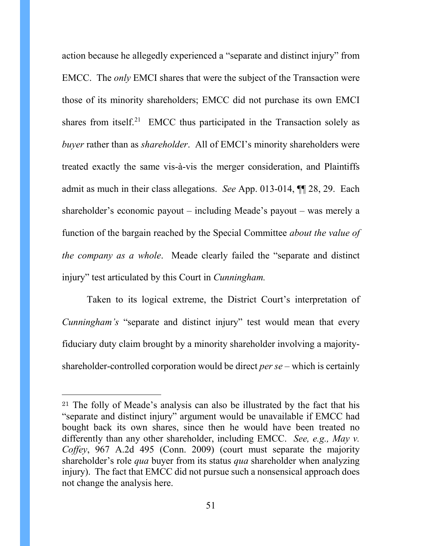action because he allegedly experienced a "separate and distinct injury" from EMCC. The *only* EMCI shares that were the subject of the Transaction were those of its minority shareholders; EMCC did not purchase its own EMCI shares from itself.<sup>[21](#page-56-0)</sup> EMCC thus participated in the Transaction solely as *buyer* rather than as *shareholder*. All of EMCI's minority shareholders were treated exactly the same vis-à-vis the merger consideration, and Plaintiffs admit as much in their class allegations. *See* App. 013-014, ¶¶ 28, 29. Each shareholder's economic payout – including Meade's payout – was merely a function of the bargain reached by the Special Committee *about the value of the company as a whole*. Meade clearly failed the "separate and distinct injury" test articulated by this Court in *Cunningham.*

Taken to its logical extreme, the District Court's interpretation of *Cunningham's* "separate and distinct injury" test would mean that every fiduciary duty claim brought by a minority shareholder involving a majorityshareholder-controlled corporation would be direct *per se –* which is certainly

<span id="page-50-0"></span><sup>21</sup> The folly of Meade's analysis can also be illustrated by the fact that his "separate and distinct injury" argument would be unavailable if EMCC had bought back its own shares, since then he would have been treated no differently than any other shareholder, including EMCC. *See, e.g., May v. Coffey*, 967 A.2d 495 (Conn. 2009) (court must separate the majority shareholder's role *qua* buyer from its status *qua* shareholder when analyzing injury). The fact that EMCC did not pursue such a nonsensical approach does not change the analysis here.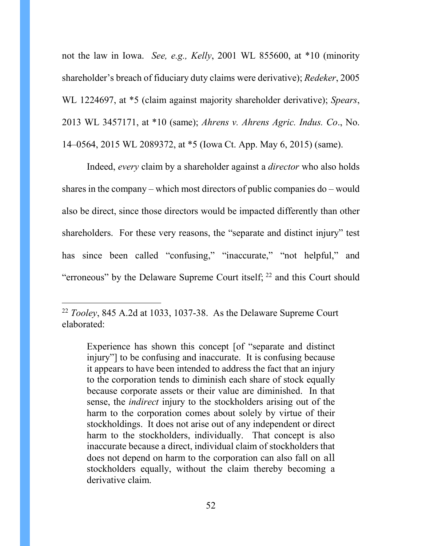not the law in Iowa. *See, e.g., Kelly*, 2001 WL 855600, at \*10 (minority shareholder's breach of fiduciary duty claims were derivative); *Redeker*, 2005 WL 1224697, at \*5 (claim against majority shareholder derivative); *Spears*, 2013 WL 3457171, at \*10 (same); *Ahrens v. Ahrens Agric. Indus. Co*., No. 14–0564, 2015 WL 2089372, at \*5 (Iowa Ct. App. May 6, 2015) (same).

Indeed, *every* claim by a shareholder against a *director* who also holds shares in the company – which most directors of public companies do – would also be direct, since those directors would be impacted differently than other shareholders. For these very reasons, the "separate and distinct injury" test has since been called "confusing," "inaccurate," "not helpful," and "erroneous" by the Delaware Supreme Court itself;  $^{22}$  $^{22}$  $^{22}$  and this Court should

<span id="page-51-0"></span> <sup>22</sup> *Tooley*, 845 A.2d at 1033, 1037-38. As the Delaware Supreme Court elaborated:

<span id="page-51-1"></span>Experience has shown this concept [of "separate and distinct injury"] to be confusing and inaccurate. It is confusing because it appears to have been intended to address the fact that an injury to the corporation tends to diminish each share of stock equally because corporate assets or their value are diminished. In that sense, the *indirect* injury to the stockholders arising out of the harm to the corporation comes about solely by virtue of their stockholdings. It does not arise out of any independent or direct harm to the stockholders, individually. That concept is also inaccurate because a direct, individual claim of stockholders that does not depend on harm to the corporation can also fall on all stockholders equally, without the claim thereby becoming a derivative claim.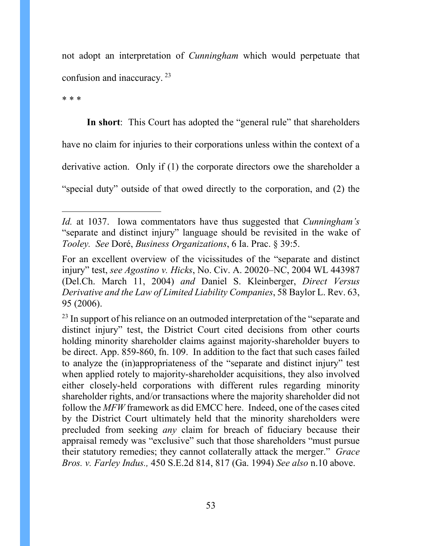not adopt an interpretation of *Cunningham* which would perpetuate that confusion and inaccuracy. [23](#page-58-0)

\* \* \*

 $\overline{a}$ 

**In short**: This Court has adopted the "general rule" that shareholders have no claim for injuries to their corporations unless within the context of a derivative action. Only if (1) the corporate directors owe the shareholder a "special duty" outside of that owed directly to the corporation, and (2) the

*Id.* at 1037. Iowa commentators have thus suggested that *Cunningham's*  "separate and distinct injury" language should be revisited in the wake of *Tooley. See* Doré, *Business Organizations*, 6 Ia. Prac. § 39:5.

For an excellent overview of the vicissitudes of the "separate and distinct injury" test, *see Agostino v. Hicks*, No. Civ. A. 20020–NC, 2004 WL 443987 (Del.Ch. March 11, 2004) *and* Daniel S. Kleinberger, *Direct Versus Derivative and the Law of Limited Liability Companies*, 58 Baylor L. Rev. 63, 95 (2006).

<span id="page-52-0"></span> $23$  In support of his reliance on an outmoded interpretation of the "separate and distinct injury" test, the District Court cited decisions from other courts holding minority shareholder claims against majority-shareholder buyers to be direct. App. 859-860, fn. 109. In addition to the fact that such cases failed to analyze the (in)appropriateness of the "separate and distinct injury" test when applied rotely to majority-shareholder acquisitions, they also involved either closely-held corporations with different rules regarding minority shareholder rights, and/or transactions where the majority shareholder did not follow the *MFW* framework as did EMCC here. Indeed, one of the cases cited by the District Court ultimately held that the minority shareholders were precluded from seeking *any* claim for breach of fiduciary because their appraisal remedy was "exclusive" such that those shareholders "must pursue their statutory remedies; they cannot collaterally attack the merger." *Grace Bros. v. Farley Indus.,* 450 S.E.2d 814, 817 (Ga. 1994) *See also* n.10 above.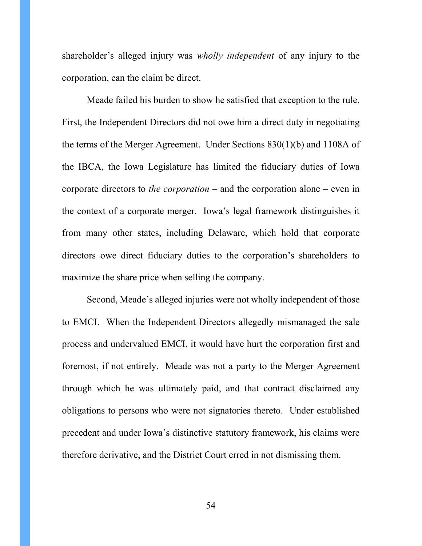shareholder's alleged injury was *wholly independent* of any injury to the corporation, can the claim be direct.

Meade failed his burden to show he satisfied that exception to the rule. First, the Independent Directors did not owe him a direct duty in negotiating the terms of the Merger Agreement. Under Sections 830(1)(b) and 1108A of the IBCA, the Iowa Legislature has limited the fiduciary duties of Iowa corporate directors to *the corporation –* and the corporation alone – even in the context of a corporate merger. Iowa's legal framework distinguishes it from many other states, including Delaware, which hold that corporate directors owe direct fiduciary duties to the corporation's shareholders to maximize the share price when selling the company.

Second, Meade's alleged injuries were not wholly independent of those to EMCI. When the Independent Directors allegedly mismanaged the sale process and undervalued EMCI, it would have hurt the corporation first and foremost, if not entirely. Meade was not a party to the Merger Agreement through which he was ultimately paid, and that contract disclaimed any obligations to persons who were not signatories thereto. Under established precedent and under Iowa's distinctive statutory framework, his claims were therefore derivative, and the District Court erred in not dismissing them.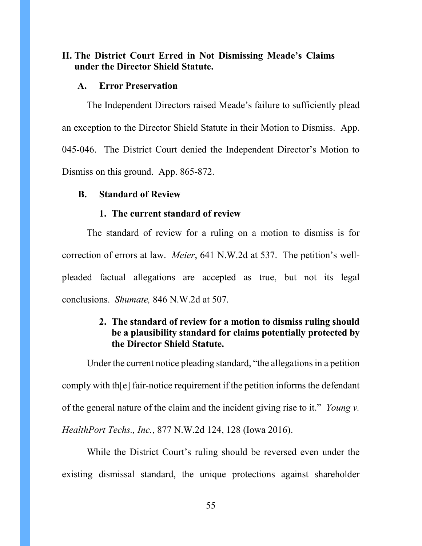## **II. The District Court Erred in Not Dismissing Meade's Claims under the Director Shield Statute.**

### **A. Error Preservation**

The Independent Directors raised Meade's failure to sufficiently plead an exception to the Director Shield Statute in their Motion to Dismiss. App. 045-046. The District Court denied the Independent Director's Motion to Dismiss on this ground. App. 865-872.

### **B. Standard of Review**

### **1. The current standard of review**

The standard of review for a ruling on a motion to dismiss is for correction of errors at law. *Meier*, 641 N.W.2d at 537. The petition's wellpleaded factual allegations are accepted as true, but not its legal conclusions. *Shumate,* 846 N.W.2d at 507.

## **2. The standard of review for a motion to dismiss ruling should be a plausibility standard for claims potentially protected by the Director Shield Statute.**

Under the current notice pleading standard, "the allegations in a petition comply with th[e] fair-notice requirement if the petition informs the defendant of the general nature of the claim and the incident giving rise to it." *Young v. HealthPort Techs., Inc.*, 877 N.W.2d 124, 128 (Iowa 2016).

While the District Court's ruling should be reversed even under the existing dismissal standard, the unique protections against shareholder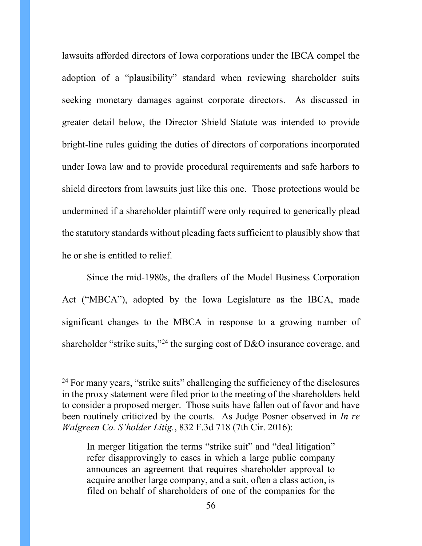lawsuits afforded directors of Iowa corporations under the IBCA compel the adoption of a "plausibility" standard when reviewing shareholder suits seeking monetary damages against corporate directors. As discussed in greater detail below, the Director Shield Statute was intended to provide bright-line rules guiding the duties of directors of corporations incorporated under Iowa law and to provide procedural requirements and safe harbors to shield directors from lawsuits just like this one. Those protections would be undermined if a shareholder plaintiff were only required to generically plead the statutory standards without pleading facts sufficient to plausibly show that he or she is entitled to relief.

Since the mid-1980s, the drafters of the Model Business Corporation Act ("MBCA"), adopted by the Iowa Legislature as the IBCA, made significant changes to the MBCA in response to a growing number of shareholder "strike suits,"<sup>[24](#page-62-0)</sup> the surging cost of D&O insurance coverage, and

 $24$  For many years, "strike suits" challenging the sufficiency of the disclosures in the proxy statement were filed prior to the meeting of the shareholders held to consider a proposed merger. Those suits have fallen out of favor and have been routinely criticized by the courts. As Judge Posner observed in *In re Walgreen Co. S'holder Litig.*, 832 F.3d 718 (7th Cir. 2016):

In merger litigation the terms "strike suit" and "deal litigation" refer disapprovingly to cases in which a large public company announces an agreement that requires shareholder approval to acquire another large company, and a suit, often a class action, is filed on behalf of shareholders of one of the companies for the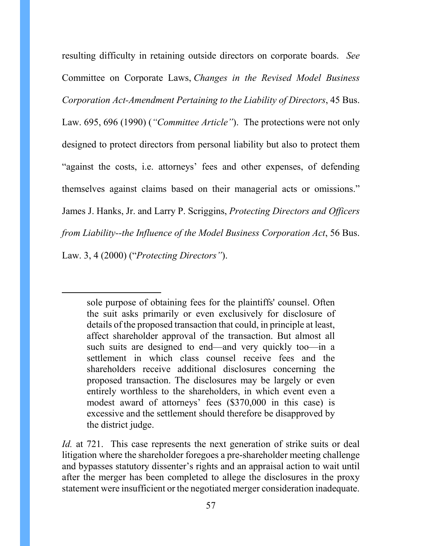resulting difficulty in retaining outside directors on corporate boards. *See*  Committee on Corporate Laws, *Changes in the Revised Model Business Corporation Act-Amendment Pertaining to the Liability of Directors*, 45 Bus. Law. 695, 696 (1990) (*"Committee Article"*). The protections were not only designed to protect directors from personal liability but also to protect them "against the costs, i.e. attorneys' fees and other expenses, of defending themselves against claims based on their managerial acts or omissions." James J. Hanks, Jr. and Larry P. Scriggins, *Protecting Directors and Officers from Liability--the Influence of the Model Business Corporation Act*, 56 Bus. Law. 3, 4 (2000) ("*Protecting Directors"*).

sole purpose of obtaining fees for the plaintiffs' counsel. Often the suit asks primarily or even exclusively for disclosure of details of the proposed transaction that could, in principle at least, affect shareholder approval of the transaction. But almost all such suits are designed to end—and very quickly too—in a settlement in which class counsel receive fees and the shareholders receive additional disclosures concerning the proposed transaction. The disclosures may be largely or even entirely worthless to the shareholders, in which event even a modest award of attorneys' fees (\$370,000 in this case) is excessive and the settlement should therefore be disapproved by the district judge.

 $\overline{a}$ 

<span id="page-56-0"></span>*Id.* at 721. This case represents the next generation of strike suits or deal litigation where the shareholder foregoes a pre-shareholder meeting challenge and bypasses statutory dissenter's rights and an appraisal action to wait until after the merger has been completed to allege the disclosures in the proxy statement were insufficient or the negotiated merger consideration inadequate.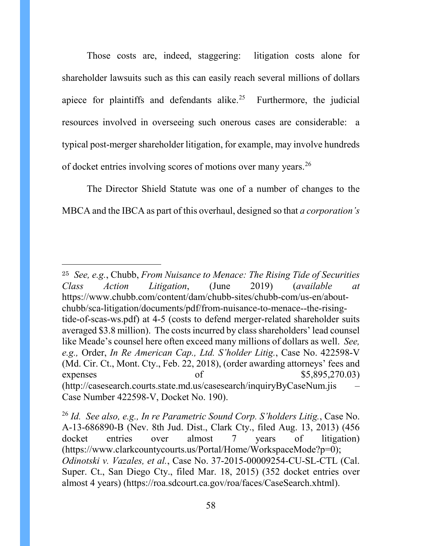Those costs are, indeed, staggering: litigation costs alone for shareholder lawsuits such as this can easily reach several millions of dollars apiece for plaintiffs and defendants alike.<sup>25</sup> Furthermore, the judicial resources involved in overseeing such onerous cases are considerable: a typical post-merger shareholder litigation, for example, may involve hundreds of docket entries involving scores of motions over many years.<sup>[26](#page-64-1)</sup>

The Director Shield Statute was one of a number of changes to the MBCA and the IBCA as part of this overhaul, designed so that *a corporation's* 

<span id="page-57-0"></span><sup>25</sup> *See, e.g.*, Chubb, *From Nuisance to Menace: The Rising Tide of Securities Class Action Litigation*, (June 2019) (*available at* https://www.chubb.com/content/dam/chubb-sites/chubb-com/us-en/aboutchubb/sca-litigation/documents/pdf/from-nuisance-to-menace--the-risingtide-of-scas-ws.pdf) at 4-5 (costs to defend merger-related shareholder suits averaged \$3.8 million). The costs incurred by class shareholders' lead counsel like Meade's counsel here often exceed many millions of dollars as well. *See, e.g.,* Order, *In Re American Cap., Ltd. S'holder Litig.*, Case No. 422598-V (Md. Cir. Ct., Mont. Cty., Feb. 22, 2018), (order awarding attorneys' fees and expenses of  $$5,895,270.03)$ (http://casesearch.courts.state.md.us/casesearch/inquiryByCaseNum.jis – Case Number 422598-V, Docket No. 190).

<sup>26</sup> *Id. See also, e.g., In re Parametric Sound Corp. S'holders Litig.*, Case No. A-13-686890-B (Nev. 8th Jud. Dist., Clark Cty., filed Aug. 13, 2013) (456 docket entries over almost 7 years of litigation) (https://www.clarkcountycourts.us/Portal/Home/WorkspaceMode?p=0); *Odinotski v. Vazales, et al.*, Case No. 37-2015-00009254-CU-SL-CTL (Cal. Super. Ct., San Diego Cty., filed Mar. 18, 2015) (352 docket entries over almost 4 years) (https://roa.sdcourt.ca.gov/roa/faces/CaseSearch.xhtml).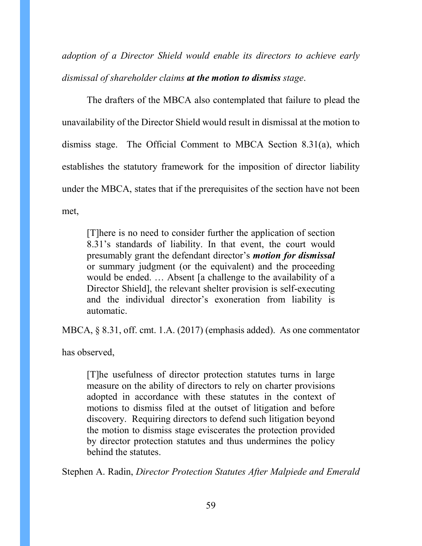*adoption of a Director Shield would enable its directors to achieve early dismissal of shareholder claims at the motion to dismiss stage*.

The drafters of the MBCA also contemplated that failure to plead the unavailability of the Director Shield would result in dismissal at the motion to dismiss stage. The Official Comment to MBCA Section 8.31(a), which establishes the statutory framework for the imposition of director liability under the MBCA, states that if the prerequisites of the section have not been met,

[T]here is no need to consider further the application of section 8.31's standards of liability. In that event, the court would presumably grant the defendant director's *motion for dismissal* or summary judgment (or the equivalent) and the proceeding would be ended. … Absent [a challenge to the availability of a Director Shield], the relevant shelter provision is self-executing and the individual director's exoneration from liability is automatic.

<span id="page-58-0"></span>MBCA, § 8.31, off. cmt. 1.A. (2017) (emphasis added). As one commentator

has observed,

[T]he usefulness of director protection statutes turns in large measure on the ability of directors to rely on charter provisions adopted in accordance with these statutes in the context of motions to dismiss filed at the outset of litigation and before discovery. Requiring directors to defend such litigation beyond the motion to dismiss stage eviscerates the protection provided by director protection statutes and thus undermines the policy behind the statutes.

Stephen A. Radin, *Director Protection Statutes After Malpiede and Emerald*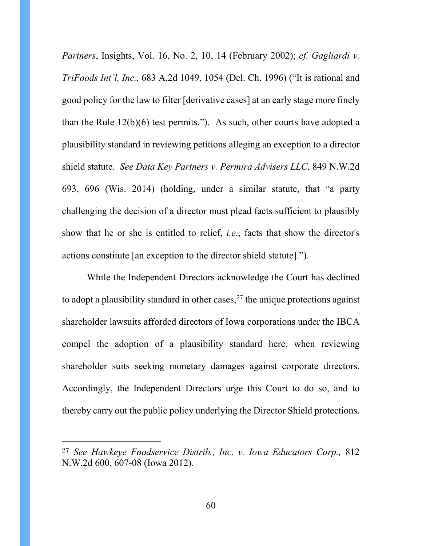*Partners*, Insights, Vol. 16, No. 2, 10, 14 (February 2002); *cf. Gagliardi v. TriFoods Int'l, Inc.,* 683 A.2d 1049, 1054 (Del. Ch. 1996) ("It is rational and good policy for the law to filter [derivative cases] at an early stage more finely than the Rule 12(b)(6) test permits."). As such, other courts have adopted a plausibility standard in reviewing petitions alleging an exception to a director shield statute. *See Data Key Partners v. Permira Advisers LLC*, 849 N.W.2d 693, 696 (Wis. 2014) (holding, under a similar statute, that "a party challenging the decision of a director must plead facts sufficient to plausibly show that he or she is entitled to relief, *i.e*., facts that show the director's actions constitute [an exception to the director shield statute].").

While the Independent Directors acknowledge the Court has declined to adopt a plausibility standard in other cases,  $27$  the unique protections against shareholder lawsuits afforded directors of Iowa corporations under the IBCA compel the adoption of a plausibility standard here, when reviewing shareholder suits seeking monetary damages against corporate directors. Accordingly, the Independent Directors urge this Court to do so, and to thereby carry out the public policy underlying the Director Shield protections.

<sup>27</sup> *See Hawkeye Foodservice Distrib., Inc. v. Iowa Educators Corp.,* 812 N.W.2d 600, 607-08 (Iowa 2012).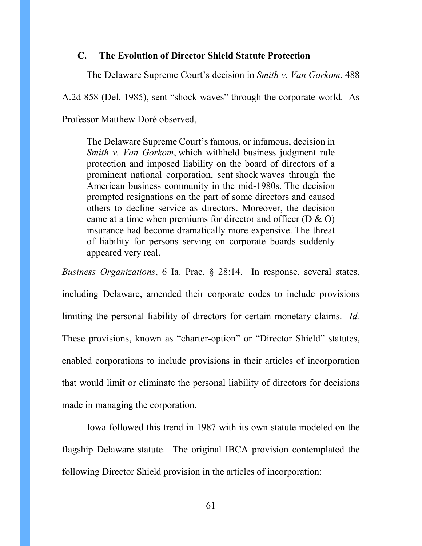### **C. The Evolution of Director Shield Statute Protection**

The Delaware Supreme Court's decision in *Smith v. Van Gorkom*, 488

A.2d 858 (Del. 1985), sent "shock waves" through the corporate world. As

Professor Matthew Doré observed,

The Delaware Supreme Court's famous, or infamous, decision in *Smith v. Van Gorkom*, which withheld business judgment rule protection and imposed liability on the board of directors of a prominent national corporation, sent shock waves through the American business community in the mid-1980s. The decision prompted resignations on the part of some directors and caused others to decline service as directors. Moreover, the decision came at a time when premiums for director and officer (D & O) insurance had become dramatically more expensive. The threat of liability for persons serving on corporate boards suddenly appeared very real.

*Business Organizations*, 6 Ia. Prac. § 28:14. In response, several states, including Delaware, amended their corporate codes to include provisions limiting the personal liability of directors for certain monetary claims. *Id.*  These provisions, known as "charter-option" or "Director Shield" statutes, enabled corporations to include provisions in their articles of incorporation that would limit or eliminate the personal liability of directors for decisions made in managing the corporation.

Iowa followed this trend in 1987 with its own statute modeled on the flagship Delaware statute. The original IBCA provision contemplated the following Director Shield provision in the articles of incorporation: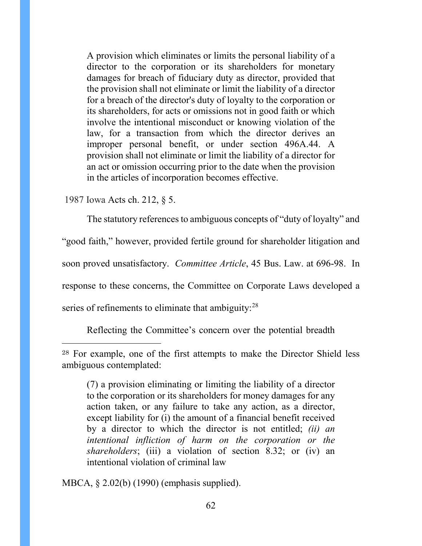A provision which eliminates or limits the personal liability of a director to the corporation or its shareholders for monetary damages for breach of fiduciary duty as director, provided that the provision shall not eliminate or limit the liability of a director for a breach of the director's duty of loyalty to the corporation or its shareholders, for acts or omissions not in good faith or which involve the intentional misconduct or knowing violation of the law, for a transaction from which the director derives an improper personal benefit, or under section 496A.44. A provision shall not eliminate or limit the liability of a director for an act or omission occurring prior to the date when the provision in the articles of incorporation becomes effective.

1987 Iowa Acts ch. 212, § 5.

 $\overline{a}$ 

The statutory references to ambiguous concepts of "duty of loyalty" and

"good faith," however, provided fertile ground for shareholder litigation and

soon proved unsatisfactory. *Committee Article*, 45 Bus. Law. at 696-98. In

response to these concerns, the Committee on Corporate Laws developed a

series of refinements to eliminate that ambiguity: $^{28}$  $^{28}$  $^{28}$ 

Reflecting the Committee's concern over the potential breadth

MBCA, § 2.02(b) (1990) (emphasis supplied).

<sup>28</sup> For example, one of the first attempts to make the Director Shield less ambiguous contemplated:

<sup>(7)</sup> a provision eliminating or limiting the liability of a director to the corporation or its shareholders for money damages for any action taken, or any failure to take any action, as a director, except liability for (i) the amount of a financial benefit received by a director to which the director is not entitled; *(ii) an intentional infliction of harm on the corporation or the shareholders*; (iii) a violation of section 8.32; or (iv) an intentional violation of criminal law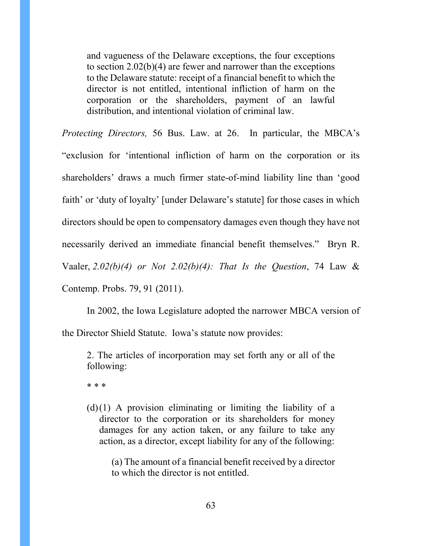and vagueness of the Delaware exceptions, the four exceptions to section 2.02(b)(4) are fewer and narrower than the exceptions to the Delaware statute: receipt of a financial benefit to which the director is not entitled, intentional infliction of harm on the corporation or the shareholders, payment of an lawful distribution, and intentional violation of criminal law.

*Protecting Directors,* 56 Bus. Law. at 26. In particular, the MBCA's "exclusion for 'intentional infliction of harm on the corporation or its shareholders' draws a much firmer state-of-mind liability line than 'good faith' or 'duty of loyalty' [under Delaware's statute] for those cases in which directors should be open to compensatory damages even though they have not necessarily derived an immediate financial benefit themselves." Bryn R. Vaaler, *2.02(b)(4) or Not 2.02(b)(4): That Is the Question*, 74 Law & Contemp. Probs. 79, 91 (2011).

In 2002, the Iowa Legislature adopted the narrower MBCA version of the Director Shield Statute. Iowa's statute now provides:

2. The articles of incorporation may set forth any or all of the following:

\* \* \*

<span id="page-62-0"></span> $(d)(1)$  A provision eliminating or limiting the liability of a director to the corporation or its shareholders for money damages for any action taken, or any failure to take any action, as a director, except liability for any of the following:

(a) The amount of a financial benefit received by a director to which the director is not entitled.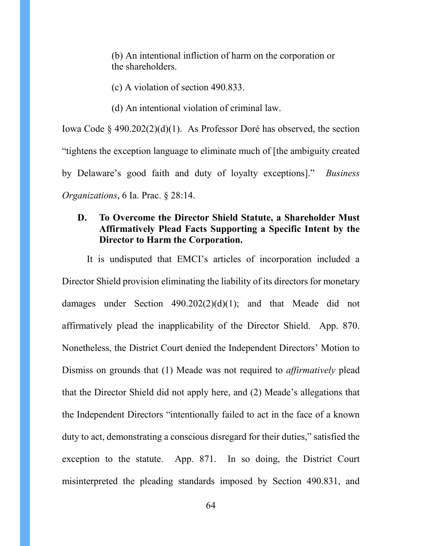(b) An intentional infliction of harm on the corporation or the shareholders.

- (c) A violation of section 490.833.
- (d) An intentional violation of criminal law.

Iowa Code § 490.202(2)(d)(1). As Professor Doré has observed, the section "tightens the exception language to eliminate much of [the ambiguity created by Delaware's good faith and duty of loyalty exceptions]." *Business Organizations*, 6 Ia. Prac. § 28:14.

# **D. To Overcome the Director Shield Statute, a Shareholder Must Affirmatively Plead Facts Supporting a Specific Intent by the Director to Harm the Corporation.**

It is undisputed that EMCI's articles of incorporation included a Director Shield provision eliminating the liability of its directors for monetary damages under Section 490.202(2)(d)(1); and that Meade did not affirmatively plead the inapplicability of the Director Shield. App. 870. Nonetheless, the District Court denied the Independent Directors' Motion to Dismiss on grounds that (1) Meade was not required to *affirmatively* plead that the Director Shield did not apply here, and (2) Meade's allegations that the Independent Directors "intentionally failed to act in the face of a known duty to act, demonstrating a conscious disregard for their duties," satisfied the exception to the statute. App. 871. In so doing, the District Court misinterpreted the pleading standards imposed by Section 490.831, and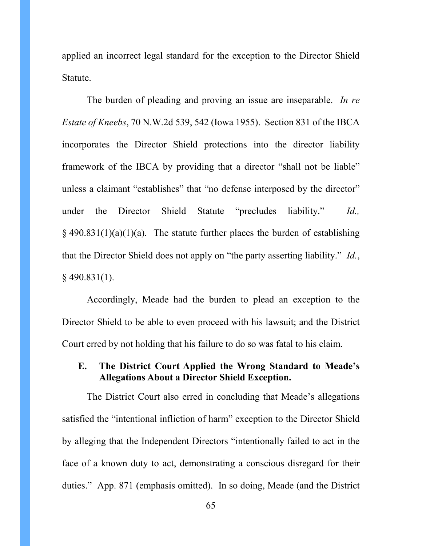applied an incorrect legal standard for the exception to the Director Shield Statute.

The burden of pleading and proving an issue are inseparable. *In re Estate of Kneebs*, 70 N.W.2d 539, 542 (Iowa 1955). Section 831 of the IBCA incorporates the Director Shield protections into the director liability framework of the IBCA by providing that a director "shall not be liable" unless a claimant "establishes" that "no defense interposed by the director" under the Director Shield Statute "precludes liability." *Id.,*   $\S$  490.831(1)(a)(1)(a). The statute further places the burden of establishing that the Director Shield does not apply on "the party asserting liability." *Id.*, § 490.831(1).

<span id="page-64-0"></span>Accordingly, Meade had the burden to plead an exception to the Director Shield to be able to even proceed with his lawsuit; and the District Court erred by not holding that his failure to do so was fatal to his claim.

## **E. The District Court Applied the Wrong Standard to Meade's Allegations About a Director Shield Exception.**

<span id="page-64-1"></span>The District Court also erred in concluding that Meade's allegations satisfied the "intentional infliction of harm" exception to the Director Shield by alleging that the Independent Directors "intentionally failed to act in the face of a known duty to act, demonstrating a conscious disregard for their duties." App. 871 (emphasis omitted). In so doing, Meade (and the District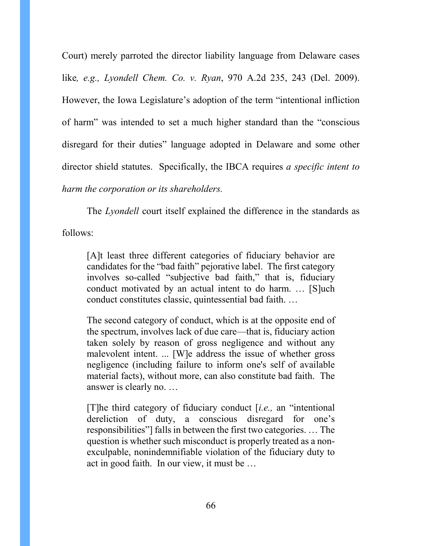Court) merely parroted the director liability language from Delaware cases like*, e.g., Lyondell Chem. Co. v. Ryan*, 970 A.2d 235, 243 (Del. 2009). However, the Iowa Legislature's adoption of the term "intentional infliction of harm" was intended to set a much higher standard than the "conscious disregard for their duties" language adopted in Delaware and some other director shield statutes. Specifically, the IBCA requires *a specific intent to harm the corporation or its shareholders.*

The *Lyondell* court itself explained the difference in the standards as

follows:

[A]t least three different categories of fiduciary behavior are candidates for the "bad faith" pejorative label. The first category involves so-called "subjective bad faith," that is, fiduciary conduct motivated by an actual intent to do harm. … [S]uch conduct constitutes classic, quintessential bad faith. …

The second category of conduct, which is at the opposite end of the spectrum, involves lack of due care—that is, fiduciary action taken solely by reason of gross negligence and without any malevolent intent. ... [W]e address the issue of whether gross negligence (including failure to inform one's self of available material facts), without more, can also constitute bad faith. The answer is clearly no. …

[T]he third category of fiduciary conduct [*i.e.,* an "intentional dereliction of duty, a conscious disregard for one's responsibilities"] falls in between the first two categories. … The question is whether such misconduct is properly treated as a nonexculpable, nonindemnifiable violation of the fiduciary duty to act in good faith. In our view, it must be …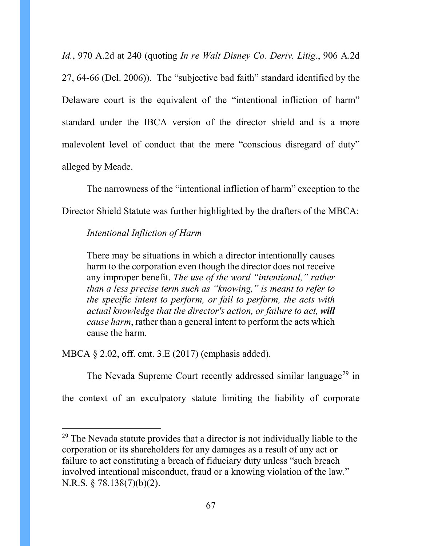*Id.*, 970 A.2d at 240 (quoting *In re Walt Disney Co. Deriv. Litig.*, 906 A.2d 27, 64-66 (Del. 2006)). The "subjective bad faith" standard identified by the Delaware court is the equivalent of the "intentional infliction of harm" standard under the IBCA version of the director shield and is a more malevolent level of conduct that the mere "conscious disregard of duty" alleged by Meade.

The narrowness of the "intentional infliction of harm" exception to the Director Shield Statute was further highlighted by the drafters of the MBCA:

#### *Intentional Infliction of Harm*

There may be situations in which a director intentionally causes harm to the corporation even though the director does not receive any improper benefit. *The use of the word "intentional," rather than a less precise term such as "knowing," is meant to refer to the specific intent to perform, or fail to perform, the acts with actual knowledge that the director's action, or failure to act, will cause harm*, rather than a general intent to perform the acts which cause the harm.

MBCA § 2.02, off. cmt. 3.E (2017) (emphasis added).

The Nevada Supreme Court recently addressed similar language<sup>[29](#page-74-0)</sup> in

the context of an exculpatory statute limiting the liability of corporate

<sup>&</sup>lt;sup>29</sup> The Nevada statute provides that a director is not individually liable to the corporation or its shareholders for any damages as a result of any act or failure to act constituting a breach of fiduciary duty unless "such breach involved intentional misconduct, fraud or a knowing violation of the law." N.R.S. § 78.138(7)(b)(2).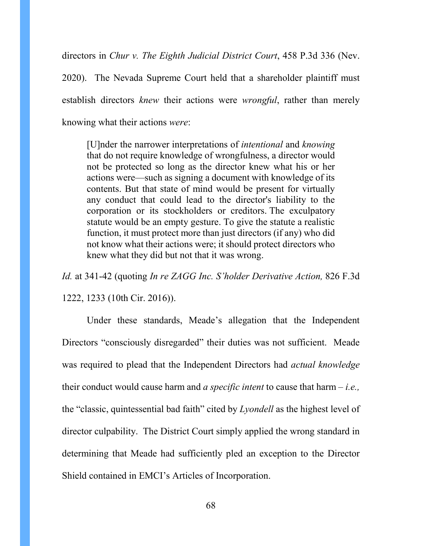directors in *Chur v. The Eighth Judicial District Court*, 458 P.3d 336 (Nev. 2020). The Nevada Supreme Court held that a shareholder plaintiff must establish directors *knew* their actions were *wrongful*, rather than merely knowing what their actions *were*:

[U]nder the narrower interpretations of *intentional* and *knowing* that do not require knowledge of wrongfulness, a director would not be protected so long as the director knew what his or her actions were—such as signing a document with knowledge of its contents. But that state of mind would be present for virtually any conduct that could lead to the director's liability to the corporation or its stockholders or creditors. The exculpatory statute would be an empty gesture. To give the statute a realistic function, it must protect more than just directors (if any) who did not know what their actions were; it should protect directors who knew what they did but not that it was wrong.

*Id.* at 341-42 (quoting *In re ZAGG Inc. S'holder Derivative Action,* 826 F.3d 1222, 1233 (10th Cir. 2016)).

<span id="page-67-0"></span>Under these standards, Meade's allegation that the Independent Directors "consciously disregarded" their duties was not sufficient. Meade was required to plead that the Independent Directors had *actual knowledge* their conduct would cause harm and *a specific intent* to cause that harm – *i.e.,* the "classic, quintessential bad faith" cited by *Lyondell* as the highest level of director culpability. The District Court simply applied the wrong standard in determining that Meade had sufficiently pled an exception to the Director Shield contained in EMCI's Articles of Incorporation.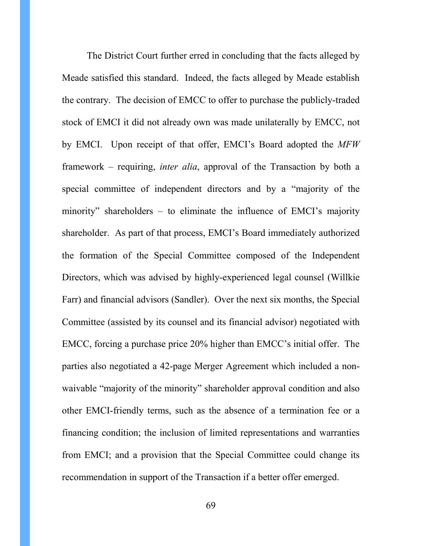The District Court further erred in concluding that the facts alleged by Meade satisfied this standard. Indeed, the facts alleged by Meade establish the contrary. The decision of EMCC to offer to purchase the publicly-traded stock of EMCI it did not already own was made unilaterally by EMCC, not by EMCI. Upon receipt of that offer, EMCI's Board adopted the *MFW*  framework – requiring, *inter alia*, approval of the Transaction by both a special committee of independent directors and by a "majority of the minority" shareholders – to eliminate the influence of EMCI's majority shareholder. As part of that process, EMCI's Board immediately authorized the formation of the Special Committee composed of the Independent Directors, which was advised by highly-experienced legal counsel (Willkie Farr) and financial advisors (Sandler). Over the next six months, the Special Committee (assisted by its counsel and its financial advisor) negotiated with EMCC, forcing a purchase price 20% higher than EMCC's initial offer. The parties also negotiated a 42-page Merger Agreement which included a nonwaivable "majority of the minority" shareholder approval condition and also other EMCI-friendly terms, such as the absence of a termination fee or a financing condition; the inclusion of limited representations and warranties from EMCI; and a provision that the Special Committee could change its recommendation in support of the Transaction if a better offer emerged.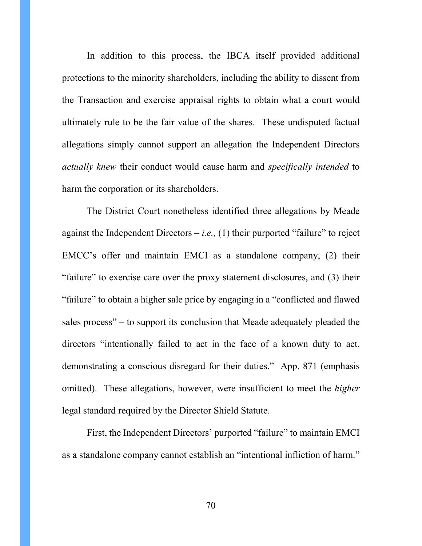In addition to this process, the IBCA itself provided additional protections to the minority shareholders, including the ability to dissent from the Transaction and exercise appraisal rights to obtain what a court would ultimately rule to be the fair value of the shares. These undisputed factual allegations simply cannot support an allegation the Independent Directors *actually knew* their conduct would cause harm and *specifically intended* to harm the corporation or its shareholders.

The District Court nonetheless identified three allegations by Meade against the Independent Directors  $-i.e., (1)$  their purported "failure" to reject EMCC's offer and maintain EMCI as a standalone company, (2) their "failure" to exercise care over the proxy statement disclosures, and (3) their "failure" to obtain a higher sale price by engaging in a "conflicted and flawed sales process" – to support its conclusion that Meade adequately pleaded the directors "intentionally failed to act in the face of a known duty to act, demonstrating a conscious disregard for their duties." App. 871 (emphasis omitted). These allegations, however, were insufficient to meet the *higher* legal standard required by the Director Shield Statute.

<span id="page-69-0"></span>First, the Independent Directors' purported "failure" to maintain EMCI as a standalone company cannot establish an "intentional infliction of harm."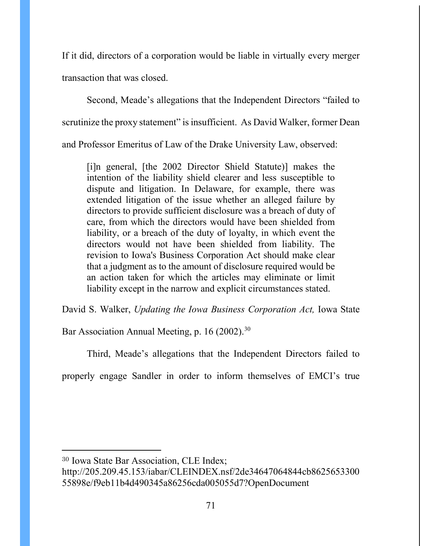If it did, directors of a corporation would be liable in virtually every merger transaction that was closed.

Second, Meade's allegations that the Independent Directors "failed to scrutinize the proxy statement" is insufficient. As David Walker, former Dean and Professor Emeritus of Law of the Drake University Law, observed:

[i]n general, [the 2002 Director Shield Statute)] makes the intention of the liability shield clearer and less susceptible to dispute and litigation. In Delaware, for example, there was extended litigation of the issue whether an alleged failure by directors to provide sufficient disclosure was a breach of duty of care, from which the directors would have been shielded from liability, or a breach of the duty of loyalty, in which event the directors would not have been shielded from liability. The revision to Iowa's Business Corporation Act should make clear that a judgment as to the amount of disclosure required would be an action taken for which the articles may eliminate or limit liability except in the narrow and explicit circumstances stated.

David S. Walker, *Updating the Iowa Business Corporation Act,* Iowa State

Bar Association Annual Meeting, p. 16 (2002).<sup>[30](#page-76-0)</sup>

Third, Meade's allegations that the Independent Directors failed to

properly engage Sandler in order to inform themselves of EMCI's true

<sup>30</sup> Iowa State Bar Association, CLE Index;

http://205.209.45.153/iabar/CLEINDEX.nsf/2de34647064844cb8625653300 55898e/f9eb11b4d490345a86256cda005055d7?OpenDocument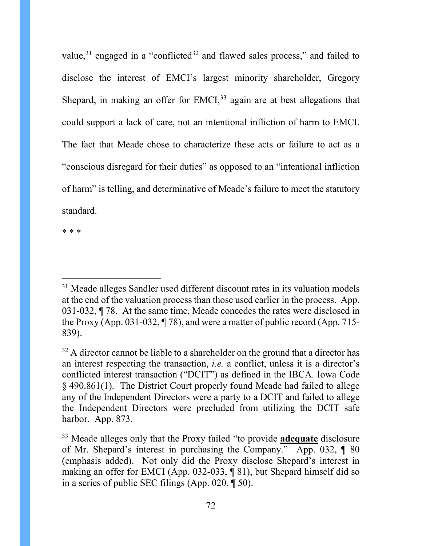value, $31$  engaged in a "conflicted<sup>[32](#page-76-2)</sup> and flawed sales process," and failed to disclose the interest of EMCI's largest minority shareholder, Gregory Shepard, in making an offer for EMCI, $33$  again are at best allegations that could support a lack of care, not an intentional infliction of harm to EMCI. The fact that Meade chose to characterize these acts or failure to act as a "conscious disregard for their duties" as opposed to an "intentional infliction of harm" is telling, and determinative of Meade's failure to meet the statutory standard.

\* \* \*

 $31$  Meade alleges Sandler used different discount rates in its valuation models at the end of the valuation process than those used earlier in the process. App. 031-032, ¶ 78. At the same time, Meade concedes the rates were disclosed in the Proxy (App. 031-032, ¶ 78), and were a matter of public record (App. 715- 839).

 $32$  A director cannot be liable to a shareholder on the ground that a director has an interest respecting the transaction, *i.e.* a conflict, unless it is a director's conflicted interest transaction ("DCIT") as defined in the IBCA. Iowa Code § 490.861(1). The District Court properly found Meade had failed to allege any of the Independent Directors were a party to a DCIT and failed to allege the Independent Directors were precluded from utilizing the DCIT safe harbor. App. 873.

<sup>33</sup> Meade alleges only that the Proxy failed "to provide **adequate** disclosure of Mr. Shepard's interest in purchasing the Company." App. 032, ¶ 80 (emphasis added). Not only did the Proxy disclose Shepard's interest in making an offer for EMCI (App. 032-033, ¶ 81), but Shepard himself did so in a series of public SEC filings (App. 020, ¶ 50).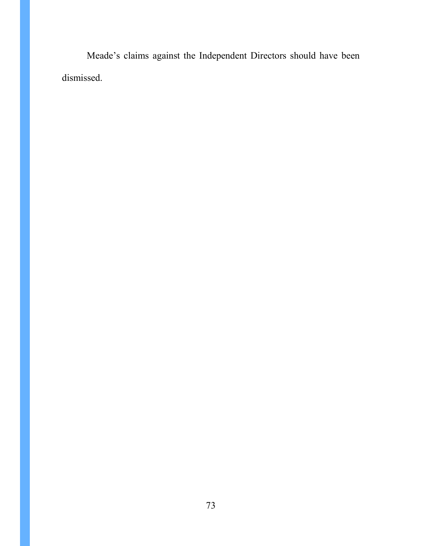Meade's claims against the Independent Directors should have been dismissed.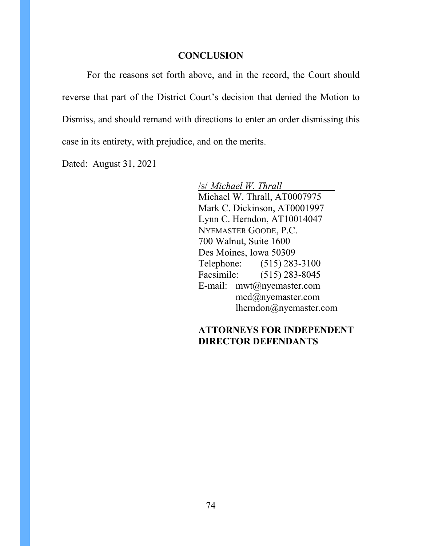#### **CONCLUSION**

For the reasons set forth above, and in the record, the Court should reverse that part of the District Court's decision that denied the Motion to Dismiss, and should remand with directions to enter an order dismissing this case in its entirety, with prejudice, and on the merits.

Dated: August 31, 2021

/s/ *Michael W. Thrall* Michael W. Thrall, AT0007975 Mark C. Dickinson, AT0001997 Lynn C. Herndon, AT10014047 NYEMASTER GOODE, P.C. 700 Walnut, Suite 1600 Des Moines, Iowa 50309 Telephone: (515) 283-3100 Facsimile: (515) 283-8045 E-mail: mwt@nyemaster.com mcd@nyemaster.com lherndon@nyemaster.com

### **ATTORNEYS FOR INDEPENDENT DIRECTOR DEFENDANTS**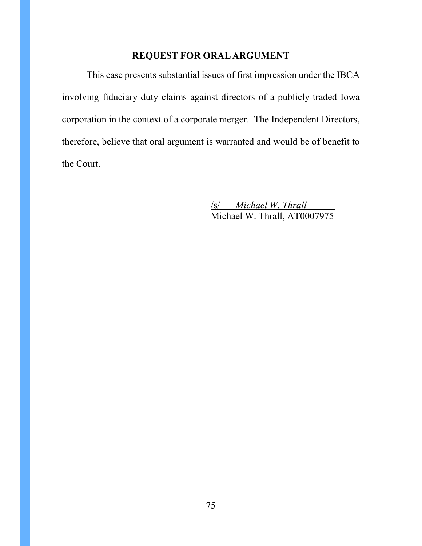# **REQUEST FOR ORAL ARGUMENT**

This case presents substantial issues of first impression under the IBCA involving fiduciary duty claims against directors of a publicly-traded Iowa corporation in the context of a corporate merger. The Independent Directors, therefore, believe that oral argument is warranted and would be of benefit to the Court.

> /s/ *Michael W. Thrall* Michael W. Thrall, AT0007975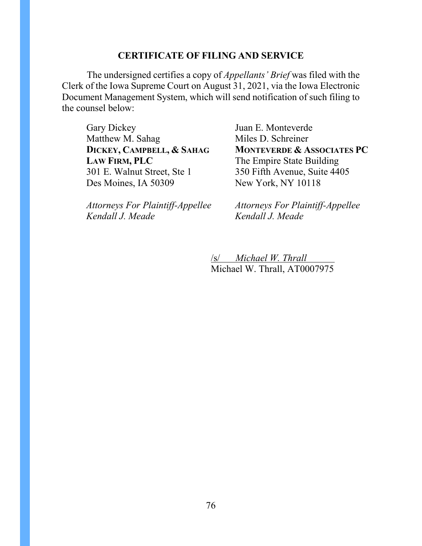#### **CERTIFICATE OF FILING AND SERVICE**

The undersigned certifies a copy of *Appellants' Brief* was filed with the Clerk of the Iowa Supreme Court on August 31, 2021, via the Iowa Electronic Document Management System, which will send notification of such filing to the counsel below:

Gary Dickey Matthew M. Sahag **DICKEY, CAMPBELL, & SAHAG LAW FIRM, PLC** 301 E. Walnut Street, Ste 1 Des Moines, IA 50309

*Attorneys For Plaintiff-Appellee Kendall J. Meade*

Juan E. Monteverde Miles D. Schreiner **MONTEVERDE & ASSOCIATES PC** The Empire State Building 350 Fifth Avenue, Suite 4405 New York, NY 10118

*Attorneys For Plaintiff-Appellee Kendall J. Meade*

/s/ *Michael W. Thrall* Michael W. Thrall, AT0007975